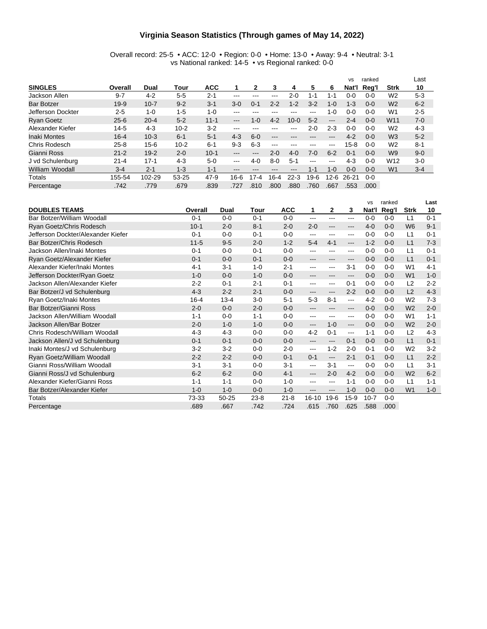#### **Virginia Season Statistics (Through games of May 14, 2022)**

#### Overall record: 25-5 • ACC: 12-0 • Region: 0-0 • Home: 13-0 • Away: 9-4 • Neutral: 3-1 vs National ranked: 14-5 • vs Regional ranked: 0-0

|                   |          |          |          |            |                     |         |               |          |               |                   | <b>VS</b> | ranked  |                 | Last    |
|-------------------|----------|----------|----------|------------|---------------------|---------|---------------|----------|---------------|-------------------|-----------|---------|-----------------|---------|
| <b>SINGLES</b>    | Overall  | Dual     | Tour     | <b>ACC</b> |                     | 2       | 3             | 4        | 5             | 6                 | Nat'l     | Reg'l   | <b>Strk</b>     | 10      |
| Jackson Allen     | $9 - 7$  | $4 - 2$  | $5 - 5$  | $2 - 1$    | $- - -$             | ---     | ---           | $2 - 0$  | $1 - 1$       | 1-1               | 0-0       | $0 - 0$ | W <sub>2</sub>  | $5 - 3$ |
| <b>Bar Botzer</b> | $19-9$   | $10 - 7$ | $9 - 2$  | $3 - 1$    | $3-0$               | 0-1     | $2 - 2$       | $1 - 2$  | $3-2$         | $1 - 0$           | $1 - 3$   | $0 - 0$ | W <sub>2</sub>  | $6 - 2$ |
| Jefferson Dockter | $2 - 5$  | $1 - 0$  | $1 - 5$  | $1 - 0$    | $- - -$             | ---     | ---           | ---      | $-- -$        | 1-0               | 0-0       | $0 - 0$ | W <sub>1</sub>  | $2 - 5$ |
| <b>Ryan Goetz</b> | $25 - 6$ | $20 - 4$ | $5 - 2$  | $11 - 1$   | $\qquad \qquad - -$ | $1 - 0$ | $4 - 2$       | $10 - 0$ | $5 - 2$       | $\qquad \qquad -$ | $2 - 4$   | $0 - 0$ | W <sub>11</sub> | $7-0$   |
| Alexander Kiefer  | $14-5$   | $4-3$    | $10 - 2$ | $3-2$      | $- - -$             | ---     | ---           | $- - -$  | $2 - 0$       | $2 - 3$           | 0-0       | $0 - 0$ | W <sub>2</sub>  | $4 - 3$ |
| Inaki Montes      | $16 - 4$ | $10-3$   | $6 - 1$  | $5 - 1$    | $4 - 3$             | $6 - 0$ | ---           |          | ---           | ---               | $4 - 2$   | $0 - 0$ | W <sub>3</sub>  | $5 - 2$ |
| Chris Rodesch     | $25 - 8$ | $15 - 6$ | $10 - 2$ | $6 - 1$    | $9 - 3$             | $6 - 3$ | $\frac{1}{2}$ | $- - -$  | $--$          | $\frac{1}{2}$     | $15 - 8$  | $0 - 0$ | W <sub>2</sub>  | $8 - 1$ |
| Gianni Ross       | $21 - 2$ | $19 - 2$ | $2 - 0$  | $10 - 1$   | $\cdots$            | $- - -$ | $2 - 0$       | $4 - 0$  | 7-0           | $6 - 2$           | $0 - 1$   | $0 - 0$ | W <sub>9</sub>  | $9 - 0$ |
| J vd Schulenburg  | $21 - 4$ | $17 - 1$ | $4 - 3$  | $5-0$      | $\frac{1}{2}$       | $4-0$   | 8-0           | $5-1$    | $\frac{1}{2}$ | $-- -$            | $4-3$     | $0 - 0$ | W <sub>12</sub> | $3-0$   |
| William Woodall   | $3 - 4$  | $2 - 1$  | $1 - 3$  | $1 - 1$    | $- - -$             | ---     | ---           | $- - -$  | 1-1           | $1 - 0$           | $0 - 0$   | $0 - 0$ | W <sub>1</sub>  | $3 - 4$ |
| Totals            | 155-54   | 102-29   | 53-25    | $47-9$     | $16-6$              | $17-4$  | 16-4          | 22-3     | 19-6          | $12 - 6$          | 26-21     | $0 - 0$ |                 |         |
| Percentage        | .742     | .779     | .679     | .839       | 727                 | .810    | .800          | .880     | 760           | .667              | .553      | .000    |                 |         |

|                                    |          |          |          |            |                     |                   |                     | <b>VS</b> | ranked  |                | Last    |
|------------------------------------|----------|----------|----------|------------|---------------------|-------------------|---------------------|-----------|---------|----------------|---------|
| <b>DOUBLES TEAMS</b>               | Overall  | Dual     | Tour     | <b>ACC</b> | 1                   | $\mathbf{2}$      | 3                   | Nat'l     | Reg'l   | <b>Strk</b>    | 10      |
| Bar Botzer/William Woodall         | $0 - 1$  | $0 - 0$  | $0 - 1$  | $0 - 0$    | $---$               | $\qquad \qquad -$ | $---$               | $0 - 0$   | $0 - 0$ | L1             | $0 - 1$ |
| Ryan Goetz/Chris Rodesch           | $10 - 1$ | $2 - 0$  | $8 - 1$  | $2 - 0$    | $2 - 0$             | $\qquad \qquad -$ | $---$               | $4-0$     | $0 - 0$ | W <sub>6</sub> | $9 - 1$ |
| Jefferson Dockter/Alexander Kiefer | $0 - 1$  | $0 - 0$  | $0 - 1$  | $0 - 0$    | $---$               | ---               | $---$               | $0 - 0$   | $0 - 0$ | L1             | $0 - 1$ |
| Bar Botzer/Chris Rodesch           | $11 - 5$ | $9-5$    | $2 - 0$  | $1 - 2$    | $5-4$               | $4 - 1$           | $---$               | $1 - 2$   | $0 - 0$ | L1             | $7-3$   |
| Jackson Allen/Inaki Montes         | $0 - 1$  | $0 - 0$  | $0 - 1$  | $0 - 0$    | $--$                | $--$              | $---$               | $0 - 0$   | $0 - 0$ | L1             | $0 - 1$ |
| Ryan Goetz/Alexander Kiefer        | $0 - 1$  | $0 - 0$  | $0 - 1$  | $0 - 0$    | ---                 | $---$             | $---$               | $0 - 0$   | $0 - 0$ | L1             | $0 - 1$ |
| Alexander Kiefer/Inaki Montes      | $4 - 1$  | $3 - 1$  | $1 - 0$  | $2 - 1$    | ---                 | $--$              | $3 - 1$             | $0 - 0$   | $0 - 0$ | W <sub>1</sub> | $4 - 1$ |
| Jefferson Dockter/Ryan Goetz       | $1 - 0$  | $0 - 0$  | $1 - 0$  | $0 - 0$    | ---                 |                   | ---                 | $0 - 0$   | $0 - 0$ | W <sub>1</sub> | $1 - 0$ |
| Jackson Allen/Alexander Kiefer     | $2 - 2$  | $0 - 1$  | $2 - 1$  | $0 - 1$    | ---                 | $--$              | $0 - 1$             | $0 - 0$   | $0 - 0$ | L2             | $2 - 2$ |
| Bar Botzer/J vd Schulenburg        | $4 - 3$  | $2 - 2$  | $2 - 1$  | $0 - 0$    | $---$               | $---$             | $2 - 2$             | $0 - 0$   | $0 - 0$ | L2             | $4 - 3$ |
| Ryan Goetz/Inaki Montes            | $16 - 4$ | $13 - 4$ | $3-0$    | $5 - 1$    | $5 - 3$             | $8 - 1$           | $\overline{a}$      | $4 - 2$   | $0 - 0$ | W <sub>2</sub> | $7-3$   |
| Bar Botzer/Gianni Ross             | $2 - 0$  | $0 - 0$  | $2 - 0$  | $0 - 0$    | $---$               | $- - -$           | $---$               | $0 - 0$   | $0 - 0$ | W <sub>2</sub> | $2 - 0$ |
| Jackson Allen/William Woodall      | $1 - 1$  | $0-0$    | $1 - 1$  | $0 - 0$    | $---$               | ---               | $---$               | $0 - 0$   | $0 - 0$ | W <sub>1</sub> | $1 - 1$ |
| Jackson Allen/Bar Botzer           | $2 - 0$  | $1 - 0$  | $1 - 0$  | $0 - 0$    | $\qquad \qquad - -$ | $1 - 0$           | $\qquad \qquad - -$ | $0 - 0$   | $0 - 0$ | W <sub>2</sub> | $2 - 0$ |
| Chris Rodesch/William Woodall      | $4 - 3$  | $4 - 3$  | $0 - 0$  | $0 - 0$    | $4 - 2$             | $0 - 1$           | $---$               | $1 - 1$   | $0 - 0$ | L <sub>2</sub> | $4-3$   |
| Jackson Allen/J vd Schulenburg     | $0 - 1$  | $0 - 1$  | $0 - 0$  | $0 - 0$    | $---$               | $---$             | $0 - 1$             | $0 - 0$   | $0 - 0$ | L1             | $0 - 1$ |
| Inaki Montes/J vd Schulenburg      | $3 - 2$  | $3-2$    | $0 - 0$  | $2 - 0$    | $---$               | $1 - 2$           | $2 - 0$             | $0 - 1$   | $0 - 0$ | W <sub>2</sub> | $3-2$   |
| Ryan Goetz/William Woodall         | $2 - 2$  | $2 - 2$  | $0 - 0$  | $0 - 1$    | $0 - 1$             | $---$             | $2 - 1$             | $0 - 1$   | $0 - 0$ | L1             | $2 - 2$ |
| Gianni Ross/William Woodall        | $3 - 1$  | $3 - 1$  | $0 - 0$  | $3 - 1$    | $--$                | $3 - 1$           | ---                 | $0 - 0$   | $0 - 0$ | L1             | $3 - 1$ |
| Gianni Ross/J vd Schulenburg       | $6 - 2$  | $6 - 2$  | $0 - 0$  | $4 - 1$    | $---$               | $2 - 0$           | $4 - 2$             | $0 - 0$   | $0 - 0$ | W <sub>2</sub> | $6 - 2$ |
| Alexander Kiefer/Gianni Ross       | $1 - 1$  | $1 - 1$  | $0 - 0$  | $1 - 0$    | $---$               | $- - -$           | $1 - 1$             | $0 - 0$   | $0 - 0$ | L1             | $1 - 1$ |
| Bar Botzer/Alexander Kiefer        | $1 - 0$  | $1 - 0$  | $0-0$    | $1 - 0$    | $---$               | $\qquad \qquad -$ | $1 - 0$             | $0 - 0$   | $0 - 0$ | W1             | $1 - 0$ |
| Totals                             | 73-33    | 50-25    | $23 - 8$ | $21 - 8$   | $16 - 10$           | $19-6$            | $15-9$              | $10 - 7$  | $0 - 0$ |                |         |
| Percentage                         | .689     | .667     | .742     | .724       | .615                | .760              | .625                | .588      | .000    |                |         |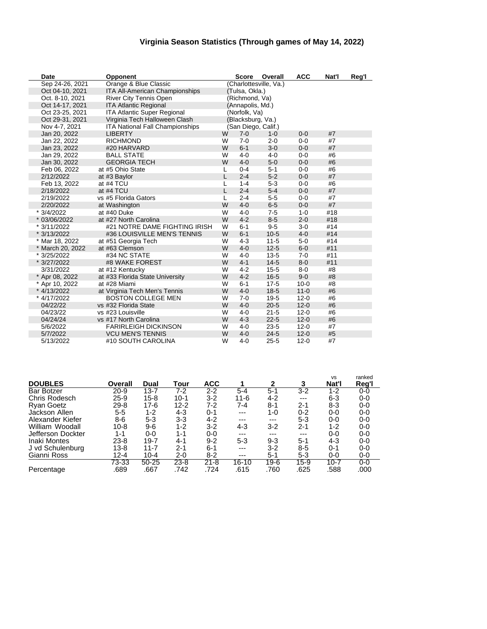### **Virginia Season Statistics (Through games of May 14, 2022)**

| Date             | <b>Opponent</b>                    |   | Score              | Overall                | <b>ACC</b> | Nat'l | Reg'l |
|------------------|------------------------------------|---|--------------------|------------------------|------------|-------|-------|
| Sep 24-26, 2021  | Orange & Blue Classic              |   |                    | (Charlottesville, Va.) |            |       |       |
| Oct 04-10, 2021  | ITA All-American Championships     |   | (Tulsa, Okla.)     |                        |            |       |       |
| Oct. 8-10, 2021  | River City Tennis Open             |   | (Richmond, Va)     |                        |            |       |       |
| Oct 14-17, 2021  | <b>ITA Atlantic Regional</b>       |   | (Annapolis, Md.)   |                        |            |       |       |
| Oct 23-25, 2021  | <b>ITA Atlantic Super Regional</b> |   | (Norfolk, Va)      |                        |            |       |       |
| Oct 29-31, 2021  | Virginia Tech Halloween Clash      |   | (Blacksburg, Va.)  |                        |            |       |       |
| Nov 4-7, 2021    | ITA National Fall Championships    |   | San Diego, Calif.) |                        |            |       |       |
| Jan 20, 2022     | <b>LIBERTY</b>                     | W | $7-0$              | $1 - 0$                | $0 - 0$    | #7    |       |
| Jan 22, 2022     | <b>RICHMOND</b>                    | W | $7 - 0$            | $2 - 0$                | $0-0$      | #7    |       |
| Jan 23, 2022     | #20 HARVARD                        | W | $6 - 1$            | $3-0$                  | $0 - 0$    | #7    |       |
| Jan 29, 2022     | <b>BALL STATE</b>                  | W | $4 - 0$            | $4 - 0$                | $0-0$      | #6    |       |
| Jan 30, 2022     | <b>GEORGIA TECH</b>                | W | $4 - 0$            | $5-0$                  | $0-0$      | #6    |       |
| Feb 06, 2022     | at #5 Ohio State                   | L | $0 - 4$            | $5 - 1$                | $0-0$      | #6    |       |
| 2/12/2022        | at #3 Baylor                       | L | $2 - 4$            | $5-2$                  | $0 - 0$    | #7    |       |
| Feb 13, 2022     | at #4 TCU                          | L | $1 - 4$            | $5-3$                  | $0 - 0$    | #6    |       |
| 2/18/2022        | at #4 TCU                          | L | $2 - 4$            | $5-4$                  | $0 - 0$    | #7    |       |
| 2/19/2022        | vs #5 Florida Gators               | L | $2 - 4$            | $5-5$                  | $0 - 0$    | #7    |       |
| 2/20/2022        | at Washington                      | W | $4 - 0$            | $6-5$                  | $0 - 0$    | #7    |       |
| * 3/4/2022       | at #40 Duke                        | W | $4 - 0$            | $7 - 5$                | $1 - 0$    | #18   |       |
| * 03/06/2022     | at #27 North Carolina              | W | $4 - 2$            | $8-5$                  | $2 - 0$    | #18   |       |
| * 3/11/2022      | #21 NOTRE DAME FIGHTING IRISH      | W | $6 - 1$            | $9-5$                  | $3-0$      | #14   |       |
| * 3/13/2022      | #36 LOUISVILLE MEN'S TENNIS        | W | $6 - 1$            | $10-5$                 | $4 - 0$    | #14   |       |
| * Mar 18, 2022   | at #51 Georgia Tech                | W | $4 - 3$            | $11 - 5$               | $5-0$      | #14   |       |
| * March 20, 2022 | at #63 Clemson                     | W | $4 - 0$            | $12 - 5$               | $6-0$      | #11   |       |
| * 3/25/2022      | #34 NC STATE                       | W | $4 - 0$            | $13-5$                 | $7 - 0$    | #11   |       |
| * 3/27/2022      | #8 WAKE FOREST                     | W | $4 - 1$            | $14 - 5$               | $8 - 0$    | #11   |       |
| 3/31/2022        | at #12 Kentucky                    | W | $4 - 2$            | $15 - 5$               | $8 - 0$    | #8    |       |
| * Apr 08, 2022   | at #33 Florida State University    | W | $4 - 2$            | $16 - 5$               | $9 - 0$    | #8    |       |
| * Apr 10, 2022   | at #28 Miami                       | W | $6 - 1$            | $17-5$                 | $10 - 0$   | #8    |       |
| * 4/13/2022      | at Virginia Tech Men's Tennis      | W | $4 - 0$            | $18-5$                 | $11 - 0$   | #6    |       |
| * 4/17/2022      | <b>BOSTON COLLEGE MEN</b>          | W | $7 - 0$            | $19-5$                 | $12 - 0$   | #6    |       |
| 04/22/22         | vs #32 Florida State               | W | $4 - 0$            | $20 - 5$               | $12 - 0$   | #6    |       |
| 04/23/22         | vs #23 Louisville                  | W | $4 - 0$            | $21 - 5$               | $12 - 0$   | #6    |       |
| 04/24/24         | vs #17 North Carolina              | W | $4 - 3$            | $22 - 5$               | $12 - 0$   | #6    |       |
| 5/6/2022         | <b>FARIRLEIGH DICKINSON</b>        | W | $4 - 0$            | $23 - 5$               | $12 - 0$   | #7    |       |
| 5/7/2022         | <b>VCU MEN'S TENNIS</b>            | W | $4 - 0$            | $24 - 5$               | $12 - 0$   | #5    |       |
| 5/13/2022        | #10 SOUTH CAROLINA                 | W | $4 - 0$            | $25 - 5$               | $12 - 0$   | #7    |       |

|                     |          |           |          |            |           |         |         | <b>VS</b> | ranked |
|---------------------|----------|-----------|----------|------------|-----------|---------|---------|-----------|--------|
| <b>DOUBLES</b>      | Overall  | Dual      | Tour     | <b>ACC</b> |           | 2       | 3       | Nat'l     | Reg'l  |
| <b>Bar Botzer</b>   | $20 - 9$ | $13 - 7$  | 7-2      | 2-2        | $5 - 4$   | $5 - 1$ | $3-2$   | 1-2       | $0-0$  |
| Chris Rodesch       | $25-9$   | $15 - 8$  | $10 - 1$ | $3-2$      | $11 - 6$  | 4-2     | $---$   | $6 - 3$   | $0-0$  |
| <b>Ryan Goetz</b>   | $29 - 8$ | $17-6$    | $12 - 2$ | 7-2        | 7-4       | $8 - 1$ | $2 - 1$ | 8-3       | $0-0$  |
| Jackson Allen       | $5 - 5$  | $1 - 2$   | 4-3      | $0 - 1$    | $---$     | 1-0     | $0 - 2$ | $0-0$     | $0-0$  |
| Alexander Kiefer    | 8-6      | $5 - 3$   | $3 - 3$  | 4-2        | ---       | $---$   | $5 - 3$ | $0-0$     | $0-0$  |
| William Woodall     | $10 - 8$ | $9-6$     | $1 - 2$  | $3-2$      | 4-3       | $3 - 2$ | $2 - 1$ | 1-2       | $0-0$  |
| Jefferson Dockter   | $1 - 1$  | $0-0$     | 1-1      | $0-0$      | ---       | $---$   | $---$   | $0-0$     | 0-0    |
| <b>Inaki Montes</b> | $23 - 8$ | $19 - 7$  | 4-1      | $9 - 2$    | $5 - 3$   | $9 - 3$ | $5-1$   | $4 - 3$   | $0-0$  |
| J vd Schulenburg    | $13 - 8$ | $11 - 7$  | $2 - 1$  | $6 - 1$    | ---       | $3 - 2$ | $8 - 5$ | $0 - 1$   | $0-0$  |
| Gianni Ross         | $12 - 4$ | $10 - 4$  | $2 - 0$  | $8-2$      | ---       | $5 - 1$ | $5 - 3$ | $0-0$     | 0-0    |
|                     | 73-33    | $50 - 25$ | $23 - 8$ | $21 - 8$   | $16 - 10$ | $19-6$  | $15-9$  | $10 - 7$  | $0-0$  |
| Percentage          | .689     | .667      | .742     | 724        | .615      | .760    | .625    | .588      | .000   |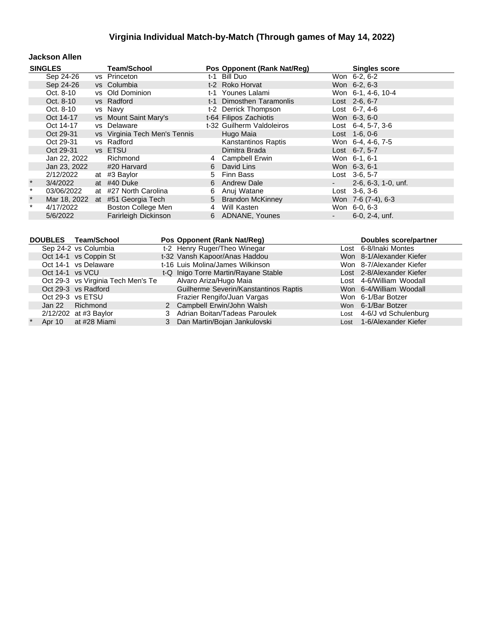#### **Jackson Allen**

|         | <b>SINGLES</b> | <b>Team/School</b>               |     | Pos Opponent (Rank Nat/Reg) | <b>Singles score</b>         |
|---------|----------------|----------------------------------|-----|-----------------------------|------------------------------|
|         | Sep 24-26      | vs Princeton                     | t-1 | Bill Duo                    | Won 6-2, 6-2                 |
|         | Sep 24-26      | vs Columbia                      |     | t-2 Roko Horvat             | Won 6-2, 6-3                 |
|         | Oct. 8-10      | vs Old Dominion                  |     | t-1 Younes Lalami           | Won 6-1, 4-6, 10-4           |
|         | Oct. 8-10      | vs Radford                       |     | t-1 Dimosthen Taramonlis    | Lost 2-6, 6-7                |
|         | Oct. 8-10      | vs Navy                          |     | t-2 Derrick Thompson        | Lost $6-7, 4-6$              |
|         | Oct 14-17      | vs Mount Saint Mary's            |     | t-64 Filipos Zachiotis      | Won 6-3, 6-0                 |
|         | Oct 14-17      | vs Delaware                      |     | t-32 Guilherm Valdoleiros   | Lost $6-4$ , 5-7, 3-6        |
|         | Oct 29-31      | vs Virginia Tech Men's Tennis    |     | Hugo Maia                   | $Last 1-6, 0-6$              |
|         | Oct 29-31      | vs Radford                       |     | Kanstantinos Raptis         | Won 6-4, 4-6, 7-5            |
|         | Oct 29-31      | vs ETSU                          |     | Dimitra Brada               | Lost 6-7, 5-7                |
|         | Jan 22, 2022   | Richmond                         | 4   | <b>Campbell Erwin</b>       | Won 6-1, 6-1                 |
|         | Jan 23, 2022   | #20 Harvard                      | 6   | David Lins                  | Won 6-3, 6-1                 |
|         | 2/12/2022      | at #3 Baylor                     | 5   | Finn Bass                   | Lost 3-6, 5-7                |
| $\star$ | 3/4/2022       | at #40 Duke                      |     | 6 Andrew Dale               | $2-6, 6-3, 1-0, \text{unf.}$ |
| $\star$ | 03/06/2022     | at #27 North Carolina            | 6   | Anuj Watane                 | $Last \, 3-6, 3-6$           |
| $\star$ |                | Mar 18, 2022 at #51 Georgia Tech |     | 5 Brandon McKinney          | Won 7-6 (7-4), 6-3           |
| $\star$ | 4/17/2022      | Boston College Men               | 4   | Will Kasten                 | Won 6-0, 6-3                 |
|         | 5/6/2022       | Farirleigh Dickinson             |     | 6 ADNANE, Younes            | 6-0, 2-4, unf.               |

|                 | DOUBLES Team/School                | Pos Opponent (Rank Nat/Reg)           | <b>Doubles score/partner</b> |
|-----------------|------------------------------------|---------------------------------------|------------------------------|
|                 | Sep 24-2 vs Columbia               | t-2 Henry Ruger/Theo Winegar          | Lost 6-8/Inaki Montes        |
|                 | Oct 14-1 vs Coppin St              | t-32 Vansh Kapoor/Anas Haddou         | Won 8-1/Alexander Kiefer     |
|                 | Oct 14-1 vs Delaware               | t-16 Luis Molina/James Wilkinson      | Won 8-7/Alexander Kiefer     |
| Oct 14-1 vs VCU |                                    | t-Q Inigo Torre Martin/Rayane Stable  | Lost 2-8/Alexander Kiefer    |
|                 | Oct 29-3 vs Virginia Tech Men's Te | Alvaro Ariza/Hugo Maia                | Lost 4-6/William Woodall     |
|                 | Oct 29-3 vs Radford                | Guilherme Severin/Kanstantinos Raptis | Won 6-4/William Woodall      |
|                 | Oct 29-3 vs ETSU                   | Frazier Rengifo/Juan Vargas           | Won 6-1/Bar Botzer           |
|                 | Jan 22 Richmond                    | 2 Campbell Erwin/John Walsh           | Won 6-1/Bar Botzer           |
|                 | $2/12/202$ at #3 Baylor            | 3 Adrian Boitan/Tadeas Paroulek       | Lost 4-6/J vd Schulenburg    |
|                 | Apr 10 at #28 Miami                | Dan Martin/Bojan Jankulovski          | Lost 1-6/Alexander Kiefer    |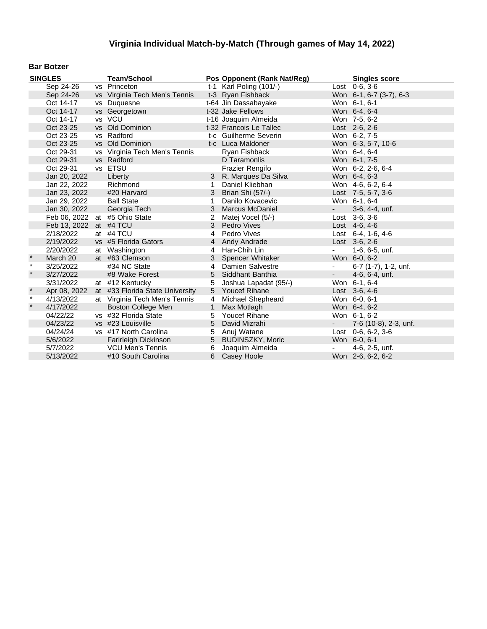#### **Bar Botzer**

|         | <b>SINGLES</b>         | <b>Team/School</b>              |                | Pos Opponent (Rank Nat/Reg) |                          | <b>Singles score</b>    |
|---------|------------------------|---------------------------------|----------------|-----------------------------|--------------------------|-------------------------|
|         | Sep 24-26              | vs Princeton                    |                | t-1 Karl Poling (101/-)     |                          | $Last 0-6.3-6$          |
|         | Sep 24-26              | vs Virginia Tech Men's Tennis   |                | t-3 Ryan Fishback           |                          | Won 6-1, 6-7 (3-7), 6-3 |
|         | Oct 14-17              | vs Duquesne                     |                | t-64 Jin Dassabayake        |                          | Won 6-1, 6-1            |
|         | Oct 14-17              | vs Georgetown                   |                | t-32 Jake Fellows           |                          | Won 6-4, 6-4            |
|         | Oct 14-17              | vs VCU                          |                | t-16 Joaquim Almeida        |                          | Won 7-5, 6-2            |
|         | Oct 23-25              | vs Old Dominion                 |                | t-32 Francois Le Tallec     |                          | Lost 2-6, 2-6           |
|         | Oct 23-25              | vs Radford                      |                | t-c Guilherme Severin       |                          | Won 6-2, 7-5            |
|         | Oct 23-25              | vs Old Dominion                 |                | t-c Luca Maldoner           |                          | Won 6-3, 5-7, 10-6      |
|         | Oct 29-31              | vs Virginia Tech Men's Tennis   |                | Ryan Fishback               |                          | Won 6-4, 6-4            |
|         | Oct 29-31              | vs Radford                      |                | D Taramonlis                |                          | Won 6-1, 7-5            |
|         | Oct 29-31              | vs ETSU                         |                | <b>Frazier Rengifo</b>      |                          | Won 6-2, 2-6, 6-4       |
|         | Jan 20, 2022           | Liberty                         |                | 3 R. Marques Da Silva       |                          | Won 6-4, 6-3            |
|         | Jan 22, 2022           | Richmond                        | 1              | Daniel Kliebhan             |                          | Won 4-6, 6-2, 6-4       |
|         | Jan 23, 2022           | #20 Harvard                     | 3              | Brian Shi (57/-)            |                          | Lost $7-5, 5-7, 3-6$    |
|         | Jan 29, 2022           | <b>Ball State</b>               | 1              | Danilo Kovacevic            |                          | Won 6-1, 6-4            |
|         | Jan 30, 2022           | Georgia Tech                    | 3              | <b>Marcus McDaniel</b>      | $\sim 100$               | 3-6, 4-4, unf.          |
|         |                        | Feb 06, 2022 at #5 Ohio State   | 2              | Matej Vocel (5/-)           |                          | Lost $3-6, 3-6$         |
|         | Feb 13, 2022 at #4 TCU |                                 | 3              | Pedro Vives                 |                          | Lost 4-6, 4-6           |
|         | 2/18/2022              | at #4 TCU                       | 4              | Pedro Vives                 |                          | Lost 6-4, 1-6, 4-6      |
|         | 2/19/2022              | vs #5 Florida Gators            |                | 4 Andy Andrade              |                          | Lost 3-6, 2-6           |
|         | 2/20/2022              | at Washington                   | $\overline{4}$ | Han-Chih Lin                |                          | 1-6, 6-5, unf.          |
|         | March 20               | at #63 Clemson                  | 3              | Spencer Whitaker            |                          | Won 6-0, 6-2            |
| $\star$ | 3/25/2022              | #34 NC State                    | 4              | Damien Salvestre            | $\overline{\phantom{a}}$ | 6-7 (1-7), 1-2, unf.    |
| $\star$ | 3/27/2022              | #8 Wake Forest                  | 5              | Siddhant Banthia            | $\sim$                   | 4-6, 6-4, unf.          |
|         | 3/31/2022              | at #12 Kentucky                 | 5              | Joshua Lapadat (95/-)       |                          | Won 6-1, 6-4            |
| $\star$ | Apr 08, 2022           | at #33 Florida State University | 5              | <b>Youcef Rihane</b>        |                          | Lost 3-6, 4-6           |
| $\star$ | 4/13/2022              | at Virginia Tech Men's Tennis   | 4              | Michael Shepheard           |                          | Won 6-0, 6-1            |
| $\star$ | 4/17/2022              | <b>Boston College Men</b>       | $\mathbf{1}$   | Max Motlagh                 |                          | Won 6-4, 6-2            |
|         | 04/22/22               | vs #32 Florida State            | 5              | Youcef Rihane               |                          | Won 6-1, 6-2            |
|         | 04/23/22               | vs #23 Louisville               | 5              | David Mizrahi               |                          | 7-6 (10-8), 2-3, unf.   |
|         | 04/24/24               | vs #17 North Carolina           | 5              | Anuj Watane                 |                          | Lost $0-6, 6-2, 3-6$    |
|         | 5/6/2022               | Farirleigh Dickinson            | 5              | <b>BUDINSZKY, Moric</b>     |                          | Won 6-0, 6-1            |
|         | 5/7/2022               | <b>VCU Men's Tennis</b>         | 6              | Joaquim Almeida             |                          | 4-6, 2-5, unf.          |
|         | 5/13/2022              | #10 South Carolina              | 6              | Casey Hoole                 |                          | Won 2-6, 6-2, 6-2       |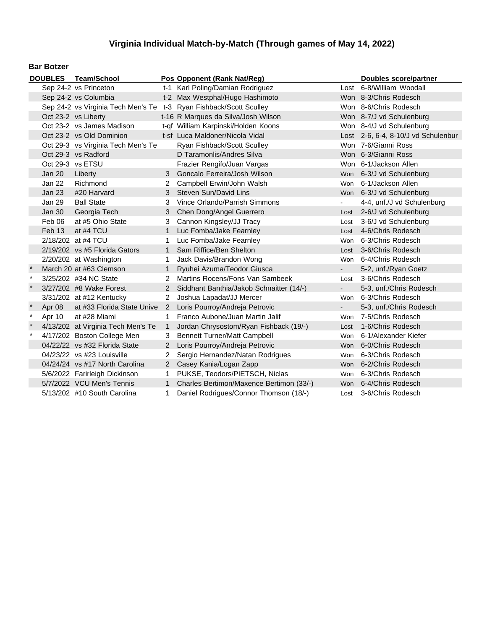#### **Bar Botzer**

|         |               | DOUBLES Team/School                |                      | Pos Opponent (Rank Nat/Reg)                                        |      | <b>Doubles score/partner</b>        |
|---------|---------------|------------------------------------|----------------------|--------------------------------------------------------------------|------|-------------------------------------|
|         |               | Sep 24-2 vs Princeton              |                      | t-1 Karl Poling/Damian Rodriguez                                   |      | Lost 6-8/William Woodall            |
|         |               | Sep 24-2 vs Columbia               |                      | t-2 Max Westphal/Hugo Hashimoto                                    |      | Won 8-3/Chris Rodesch               |
|         |               |                                    |                      | Sep 24-2 vs Virginia Tech Men's Te t-3 Ryan Fishback/Scott Sculley |      | Won 8-6/Chris Rodesch               |
|         |               | Oct 23-2 vs Liberty                |                      | t-16 R Marques da Silva/Josh Wilson                                |      | Won 8-7/J vd Schulenburg            |
|         |               | Oct 23-2 vs James Madison          |                      | t-qf William Karpinski/Holden Koons                                |      | Won 8-4/J vd Schulenburg            |
|         |               | Oct 23-2 vs Old Dominion           |                      | t-sf Luca Maldoner/Nicola Vidal                                    |      | Lost 2-6, 6-4, 8-10/J vd Schulenbur |
|         |               | Oct 29-3 vs Virginia Tech Men's Te |                      | Ryan Fishback/Scott Sculley                                        |      | Won 7-6/Gianni Ross                 |
|         |               | Oct 29-3 vs Radford                |                      | D Taramonlis/Andres Silva                                          |      | Won 6-3/Gianni Ross                 |
|         |               | Oct 29-3 vs ETSU                   |                      | Frazier Rengifo/Juan Vargas                                        |      | Won 6-1/Jackson Allen               |
|         | <b>Jan 20</b> | Liberty                            | 3                    | Goncalo Ferreira/Josh Wilson                                       |      | Won 6-3/J vd Schulenburg            |
|         | Jan 22        | Richmond                           |                      | Campbell Erwin/John Walsh                                          | Won  | 6-1/Jackson Allen                   |
|         | Jan 23        | #20 Harvard                        | 3                    | Steven Sun/David Lins                                              |      | Won 6-3/J vd Schulenburg            |
|         | Jan 29        | <b>Ball State</b>                  | 3                    | Vince Orlando/Parrish Simmons                                      |      | 4-4, unf./J vd Schulenburg          |
|         | Jan 30        | Georgia Tech                       | 3                    | Chen Dong/Angel Guerrero                                           |      | Lost 2-6/J vd Schulenburg           |
|         | Feb 06        | at #5 Ohio State                   | 3                    | Cannon Kingsley/JJ Tracy                                           | Lost | 3-6/J vd Schulenburg                |
|         | Feb 13        | at #4 TCU                          | 1.                   | Luc Fomba/Jake Fearnley                                            | Lost | 4-6/Chris Rodesch                   |
|         |               | 2/18/202 at #4 TCU                 | 1.                   | Luc Fomba/Jake Fearnley                                            | Won  | 6-3/Chris Rodesch                   |
|         |               | 2/19/202 vs #5 Florida Gators      | $\mathbf{1}$         | Sam Riffice/Ben Shelton                                            |      | Lost 3-6/Chris Rodesch              |
|         |               | 2/20/202 at Washington             | 1                    | Jack Davis/Brandon Wong                                            |      | Won 6-4/Chris Rodesch               |
|         |               | March 20 at #63 Clemson            | 1.                   | Ryuhei Azuma/Teodor Giusca                                         |      | 5-2, unf./Ryan Goetz                |
| $\ast$  |               | 3/25/202 #34 NC State              | 2                    | Martins Rocens/Fons Van Sambeek                                    |      | Lost 3-6/Chris Rodesch              |
|         |               | 3/27/202 #8 Wake Forest            | $2^{\circ}$          | Siddhant Banthia/Jakob Schnaitter (14/-)                           |      | 5-3, unf./Chris Rodesch             |
|         |               | 3/31/202 at #12 Kentucky           | $\mathbf{2}^{\circ}$ | Joshua Lapadat/JJ Mercer                                           |      | Won 6-3/Chris Rodesch               |
|         | Apr 08        | at #33 Florida State Unive         | $\overline{2}$       | Loris Pourroy/Andreja Petrovic                                     |      | 5-3, unf./Chris Rodesch             |
| $\ast$  | Apr 10        | at #28 Miami                       | 1.                   | Franco Aubone/Juan Martin Jalif                                    | Won  | 7-5/Chris Rodesch                   |
| $\star$ |               | 4/13/202 at Virginia Tech Men's Te | $\mathbf{1}$         | Jordan Chrysostom/Ryan Fishback (19/-)                             | Lost | 1-6/Chris Rodesch                   |
| $\ast$  |               | 4/17/202 Boston College Men        | 3.                   | <b>Bennett Turner/Matt Campbell</b>                                |      | Won 6-1/Alexander Kiefer            |
|         |               | 04/22/22 vs #32 Florida State      | $2^{\circ}$          | Loris Pourroy/Andreja Petrovic                                     |      | Won 6-0/Chris Rodesch               |
|         |               | 04/23/22 vs #23 Louisville         | 2                    | Sergio Hernandez/Natan Rodrigues                                   | Won  | 6-3/Chris Rodesch                   |
|         |               | 04/24/24 vs #17 North Carolina     | 2 <sup>1</sup>       | Casey Kania/Logan Zapp                                             |      | Won 6-2/Chris Rodesch               |
|         |               | 5/6/2022 Farirleigh Dickinson      | 1.                   | PUKSE, Teodors/PIETSCH, Niclas                                     | Won  | 6-3/Chris Rodesch                   |
|         |               | 5/7/2022 VCU Men's Tennis          | $\mathbf{1}$         | Charles Bertimon/Maxence Bertimon (33/-)                           |      | Won 6-4/Chris Rodesch               |
|         |               | 5/13/202 #10 South Carolina        | 1.                   | Daniel Rodrigues/Connor Thomson (18/-)                             |      | Lost 3-6/Chris Rodesch              |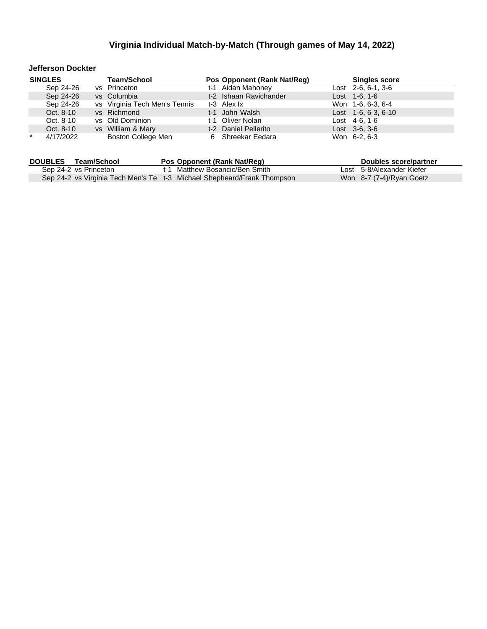#### **Jefferson Dockter**

|         | <b>SINGLES</b> | <b>Team/School</b>            | Pos Opponent (Rank Nat/Reg) | <b>Singles score</b>  |
|---------|----------------|-------------------------------|-----------------------------|-----------------------|
|         | Sep 24-26      | vs Princeton                  | t-1 Aidan Mahoney           | Lost $2-6, 6-1, 3-6$  |
|         | Sep 24-26      | vs Columbia                   | t-2 Ishaan Ravichander      | Lost 1-6, 1-6         |
|         | Sep 24-26      | vs Virginia Tech Men's Tennis | t-3 Alex Ix                 | Won 1-6, 6-3, 6-4     |
|         | Oct. 8-10      | vs Richmond                   | t-1 John Walsh              | Lost $1-6, 6-3, 6-10$ |
|         | Oct. 8-10      | vs Old Dominion               | t-1 Oliver Nolan            | Lost 4-6, 1-6         |
|         | Oct. 8-10      | vs William & Mary             | t-2 Daniel Pellerito        | $Last \, 3-6, 3-6$    |
| $\star$ | 4/17/2022      | Boston College Men            | 6 Shreekar Eedara           | Won 6-2, 6-3          |

| <b>DOUBLES</b> | Team/School           | Pos Opponent (Rank Nat/Req)                                             | Doubles score/partner     |
|----------------|-----------------------|-------------------------------------------------------------------------|---------------------------|
|                | Sep 24-2 vs Princeton | t-1 Matthew Bosancic/Ben Smith                                          | Lost 5-8/Alexander Kiefer |
|                |                       | Sep 24-2 vs Virginia Tech Men's Te t-3 Michael Shepheard/Frank Thompson | Won 8-7 (7-4)/Ryan Goetz  |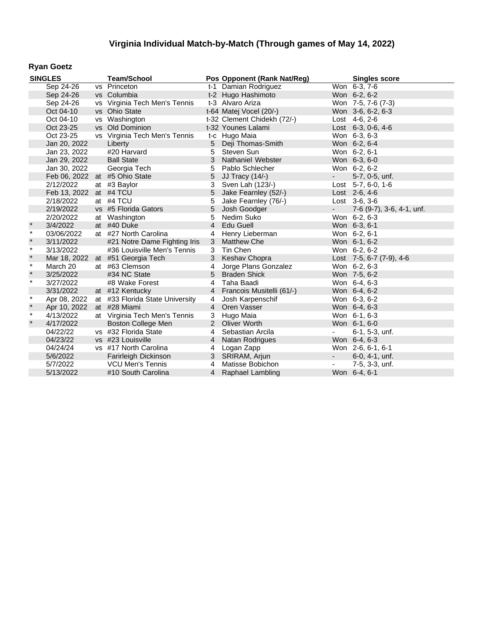### **Ryan Goetz**

|              | <b>SINGLES</b> | <b>Team/School</b>               |                | Pos Opponent (Rank Nat/Reg) |            | <b>Singles score</b>      |
|--------------|----------------|----------------------------------|----------------|-----------------------------|------------|---------------------------|
|              | Sep 24-26      | vs Princeton                     |                | t-1 Damian Rodriguez        |            | Won 6-3, 7-6              |
|              | Sep 24-26      | vs Columbia                      |                | t-2 Hugo Hashimoto          |            | Won 6-2, 6-2              |
|              | Sep 24-26      | vs Virginia Tech Men's Tennis    |                | t-3 Alvaro Ariza            |            | Won 7-5, 7-6 (7-3)        |
|              | Oct 04-10      | vs Ohio State                    |                | t-64 Matej Vocel (20/-)     |            | Won 3-6, 6-2, 6-3         |
|              | Oct 04-10      | vs Washington                    |                | t-32 Clement Chidekh (72/-) |            | Lost 4-6, 2-6             |
|              | Oct 23-25      | vs Old Dominion                  |                | t-32 Younes Lalami          |            | Lost 6-3, 0-6, 4-6        |
|              | Oct 23-25      | vs Virginia Tech Men's Tennis    |                | t-c Hugo Maia               |            | Won 6-3, 6-3              |
|              | Jan 20, 2022   | Liberty                          | 5              | Deji Thomas-Smith           |            | Won 6-2, 6-4              |
|              | Jan 23, 2022   | #20 Harvard                      | 5              | Steven Sun                  |            | Won 6-2, 6-1              |
|              | Jan 29, 2022   | <b>Ball State</b>                | 3              | Nathaniel Webster           |            | Won 6-3, 6-0              |
|              | Jan 30, 2022   | Georgia Tech                     | 5              | Pablo Schlecher             |            | Won 6-2, 6-2              |
|              |                | Feb 06, 2022 at #5 Ohio State    | 5              | <b>JJ Tracy (14/-)</b>      | $\sim 100$ | 5-7, 0-5, unf.            |
|              | 2/12/2022      | at #3 Baylor                     | 3              | Sven Lah (123/-)            |            | Lost $5-7, 6-0, 1-6$      |
|              | Feb 13, 2022   | at #4 TCU                        | 5              | Jake Fearnley (52/-)        |            | Lost 2-6, 4-6             |
|              | 2/18/2022      | at #4 TCU                        | 5              | Jake Fearnley (76/-)        |            | Lost $3-6, 3-6$           |
|              | 2/19/2022      | vs #5 Florida Gators             | 5              | Josh Goodger                | $\sim$     | 7-6 (9-7), 3-6, 4-1, unf. |
|              | 2/20/2022      | at Washington                    | 5              | Nedim Suko                  |            | Won 6-2, 6-3              |
| $\pmb{\ast}$ | 3/4/2022       | at #40 Duke                      | $\overline{4}$ | Edu Guell                   |            | Won 6-3, 6-1              |
| $\star$      | 03/06/2022     | at #27 North Carolina            | 4              | Henry Lieberman             |            | Won 6-2, 6-1              |
| $\pmb{\ast}$ | 3/11/2022      | #21 Notre Dame Fighting Iris     | 3              | <b>Matthew Che</b>          |            | Won 6-1, 6-2              |
| $\star$      | 3/13/2022      | #36 Louisville Men's Tennis      | 3              | Tin Chen                    |            | Won 6-2, 6-2              |
| $\pmb{\ast}$ |                | Mar 18, 2022 at #51 Georgia Tech | 3              | Keshav Chopra               |            | Lost 7-5, 6-7 (7-9), 4-6  |
| $\star$      | March 20       | at #63 Clemson                   | 4              | Jorge Plans Gonzalez        |            | Won 6-2, 6-3              |
| $\star$      | 3/25/2022      | #34 NC State                     | 5              | <b>Braden Shick</b>         |            | Won 7-5, 6-2              |
| $\star$      | 3/27/2022      | #8 Wake Forest                   | $\overline{4}$ | Taha Baadi                  |            | Won 6-4, 6-3              |
|              | 3/31/2022      | at #12 Kentucky                  |                | 4 Francois Musitelli (61/-) |            | Won 6-4, 6-2              |
| $\star$      | Apr 08, 2022   | at #33 Florida State University  | 4              | Josh Karpenschif            |            | Won 6-3, 6-2              |
| $\star$      | Apr 10, 2022   | at #28 Miami                     | $\overline{4}$ | Oren Vasser                 |            | Won 6-4, 6-3              |
| $\star$      | 4/13/2022      | at Virginia Tech Men's Tennis    | 3              | Hugo Maia                   |            | Won 6-1, 6-3              |
| $\star$      | 4/17/2022      | <b>Boston College Men</b>        |                | 2 Oliver Worth              |            | Won 6-1, 6-0              |
|              | 04/22/22       | vs #32 Florida State             |                | 4 Sebastian Arcila          |            | 6-1, 5-3, unf.            |
|              | 04/23/22       | vs #23 Louisville                |                | 4 Natan Rodrigues           |            | Won 6-4, 6-3              |
|              | 04/24/24       | vs #17 North Carolina            | 4              | Logan Zapp                  |            | Won 2-6, 6-1, 6-1         |
|              | 5/6/2022       | Farirleigh Dickinson             |                | 3 SRIRAM, Arjun             | $\sim$     | $6-0, 4-1, \text{unf.}$   |
|              | 5/7/2022       | <b>VCU Men's Tennis</b>          | $\overline{4}$ | Matisse Bobichon            |            | 7-5, 3-3, unf.            |
|              | 5/13/2022      | #10 South Carolina               |                | 4 Raphael Lambling          |            | Won 6-4, 6-1              |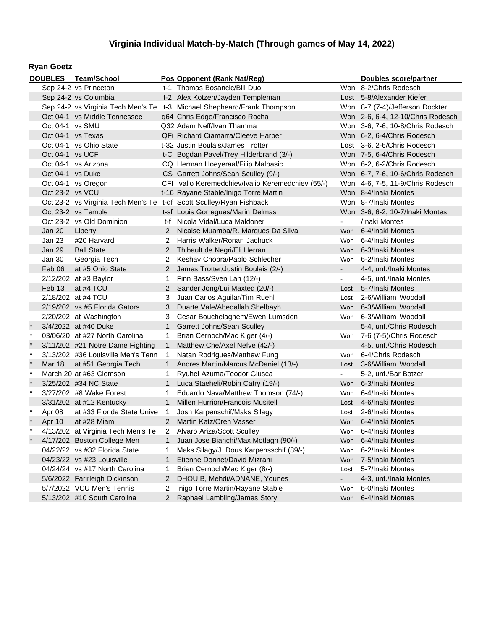### **Ryan Goetz**

|         |                        | DOUBLES Team/School                |                       | Pos Opponent (Rank Nat/Reg)                                             |            | <b>Doubles score/partner</b>      |
|---------|------------------------|------------------------------------|-----------------------|-------------------------------------------------------------------------|------------|-----------------------------------|
|         |                        | Sep 24-2 vs Princeton              |                       | t-1 Thomas Bosancic/Bill Duo                                            |            | Won 8-2/Chris Rodesch             |
|         |                        | Sep 24-2 vs Columbia               |                       | t-2 Alex Kotzen/Jayden Templeman                                        |            | Lost 5-8/Alexander Kiefer         |
|         |                        |                                    |                       | Sep 24-2 vs Virginia Tech Men's Te t-3 Michael Shepheard/Frank Thompson |            | Won 8-7 (7-4)/Jefferson Dockter   |
|         |                        | Oct 04-1 vs Middle Tennessee       |                       | q64 Chris Edge/Francisco Rocha                                          |            | Won 2-6, 6-4, 12-10/Chris Rodesch |
|         | Oct 04-1 vs SMU        |                                    |                       | Q32 Adam Neff/Ivan Thamma                                               |            | Won 3-6, 7-6, 10-8/Chris Rodesch  |
|         | Oct 04-1 vs Texas      |                                    |                       | QFi Richard Ciamarra/Cleeve Harper                                      |            | Won 6-2, 6-4/Chris Rodesch        |
|         | Oct 04-1 vs Ohio State |                                    |                       | t-32 Justin Boulais/James Trotter                                       |            | Lost 3-6, 2-6/Chris Rodesch       |
|         | Oct 04-1 vs UCF        |                                    |                       | t-C Bogdan Pavel/Trey Hilderbrand (3/-)                                 |            | Won 7-5, 6-4/Chris Rodesch        |
|         |                        | Oct 04-1 vs Arizona                |                       | CQ Herman Hoeyeraal/Filip Malbasic                                      |            | Won 6-2, 6-2/Chris Rodesch        |
|         | Oct 04-1 vs Duke       |                                    |                       | CS Garrett Johns/Sean Sculley (9/-)                                     |            | Won 6-7, 7-6, 10-6/Chris Rodesch  |
|         |                        | Oct 04-1 vs Oregon                 |                       | CFI Ivalio Keremedchiev/Ivalio Keremedchiev (55/-)                      |            | Won 4-6, 7-5, 11-9/Chris Rodesch  |
|         | Oct 23-2 vs VCU        |                                    |                       | t-16 Rayane Stable/Inigo Torre Martin                                   |            | Won 8-4/Inaki Montes              |
|         |                        |                                    |                       | Oct 23-2 vs Virginia Tech Men's Te t-qf Scott Sculley/Ryan Fishback     |            | Won 8-7/Inaki Montes              |
|         |                        | Oct 23-2 vs Temple                 |                       | t-sf Louis Gorregues/Marin Delmas                                       |            | Won 3-6, 6-2, 10-7/Inaki Montes   |
|         |                        | Oct 23-2 vs Old Dominion           |                       | t-f Nicola Vidal/Luca Maldoner                                          |            | /Inaki Montes                     |
|         | <b>Jan 20</b>          | Liberty                            |                       | Nicaise Muamba/R. Marques Da Silva                                      | <b>Won</b> | 6-4/Inaki Montes                  |
|         | Jan 23                 | #20 Harvard                        | 2                     | Harris Walker/Ronan Jachuck                                             | Won        | 6-4/Inaki Montes                  |
|         | <b>Jan 29</b>          | <b>Ball State</b>                  | $\overline{2}$        | Thibault de Negri/Eli Herran                                            | <b>Won</b> | 6-3/Inaki Montes                  |
|         | Jan 30                 | Georgia Tech                       | 2                     | Keshav Chopra/Pablo Schlecher                                           | Won        | 6-2/Inaki Montes                  |
|         | Feb 06                 | at #5 Ohio State                   | $\mathbf{2}^{\prime}$ | James Trotter/Justin Boulais (2/-)                                      |            | 4-4, unf./Inaki Montes            |
|         |                        | 2/12/202 at #3 Baylor              | 1                     | Finn Bass/Sven Lah (12/-)                                               |            | 4-5, unf./Inaki Montes            |
|         | Feb 13                 | at #4 TCU                          | $\mathbf{2}^{\prime}$ | Sander Jong/Lui Maxted (20/-)                                           | Lost       | 5-7/Inaki Montes                  |
|         |                        | 2/18/202 at #4 TCU                 | 3                     | Juan Carlos Aguilar/Tim Ruehl                                           | Lost       | 2-6/William Woodall               |
|         |                        | 2/19/202 vs #5 Florida Gators      | 3                     | Duarte Vale/Abedallah Shelbayh                                          | Won        | 6-3/William Woodall               |
|         |                        | 2/20/202 at Washington             | 3                     | Cesar Bouchelaghem/Ewen Lumsden                                         | Won        | 6-3/William Woodall               |
|         |                        | 3/4/2022 at #40 Duke               | 1                     | Garrett Johns/Sean Sculley                                              |            | 5-4, unf./Chris Rodesch           |
| $\ast$  |                        | 03/06/20 at #27 North Carolina     | 1                     | Brian Cernoch/Mac Kiger (4/-)                                           | Won        | 7-6 (7-5)/Chris Rodesch           |
| $\ast$  |                        | 3/11/202 #21 Notre Dame Fighting   | $\mathbf{1}$          | Matthew Che/Axel Nefve (42/-)                                           |            | 4-5, unf./Chris Rodesch           |
| $\star$ |                        | 3/13/202 #36 Louisville Men's Tenn | 1                     | Natan Rodrigues/Matthew Fung                                            | Won        | 6-4/Chris Rodesch                 |
| $\star$ | Mar 18                 | at #51 Georgia Tech                | $\mathbf{1}$          | Andres Martin/Marcus McDaniel (13/-)                                    | Lost       | 3-6/William Woodall               |
| $\ast$  |                        | March 20 at #63 Clemson            | 1                     | Ryuhei Azuma/Teodor Giusca                                              |            | 5-2, unf./Bar Botzer              |
|         |                        | 3/25/202 #34 NC State              | 1                     | Luca Staeheli/Robin Catry (19/-)                                        | Won        | 6-3/Inaki Montes                  |
| $\star$ |                        | 3/27/202 #8 Wake Forest            | 1                     | Eduardo Nava/Matthew Thomson (74/-)                                     | Won        | 6-4/Inaki Montes                  |
|         |                        | 3/31/202 at #12 Kentucky           | $\mathbf{1}$          | Millen Hurrion/Francois Musitelli                                       | Lost       | 4-6/Inaki Montes                  |
| $\ast$  | Apr 08                 | at #33 Florida State Unive         | 1                     | Josh Karpenschif/Maks Silagy                                            | Lost       | 2-6/Inaki Montes                  |
|         | Apr 10                 | at #28 Miami                       | 2 <sup>1</sup>        | Martin Katz/Oren Vasser                                                 |            | Won 6-4/Inaki Montes              |
|         |                        | 4/13/202 at Virginia Tech Men's Te |                       | Alvaro Ariza/Scott Sculley                                              | Won        | 6-4/Inaki Montes                  |
|         |                        | 4/17/202 Boston College Men        | 1                     | Juan Jose Bianchi/Max Motlagh (90/-)                                    | Won        | 6-4/Inaki Montes                  |
|         |                        | 04/22/22 vs #32 Florida State      | 1                     | Maks Silagy/J. Dous Karpensschif (89/-)                                 | Won        | 6-2/Inaki Montes                  |
|         |                        | 04/23/22 vs #23 Louisville         | 1                     | Etienne Donnet/David Mizrahi                                            | Won        | 7-5/Inaki Montes                  |
|         |                        | 04/24/24 vs #17 North Carolina     | 1                     | Brian Cernoch/Mac Kiger (8/-)                                           | Lost       | 5-7/Inaki Montes                  |
|         |                        | 5/6/2022 Farirleigh Dickinson      | $\overline{2}$        | DHOUIB, Mehdi/ADNANE, Younes                                            |            | 4-3, unf./Inaki Montes            |
|         |                        | 5/7/2022 VCU Men's Tennis          | 2                     | Inigo Torre Martin/Rayane Stable                                        | Won        | 6-0/Inaki Montes                  |
|         |                        | 5/13/202 #10 South Carolina        | $\mathbf{2}$          | Raphael Lambling/James Story                                            | Won        | 6-4/Inaki Montes                  |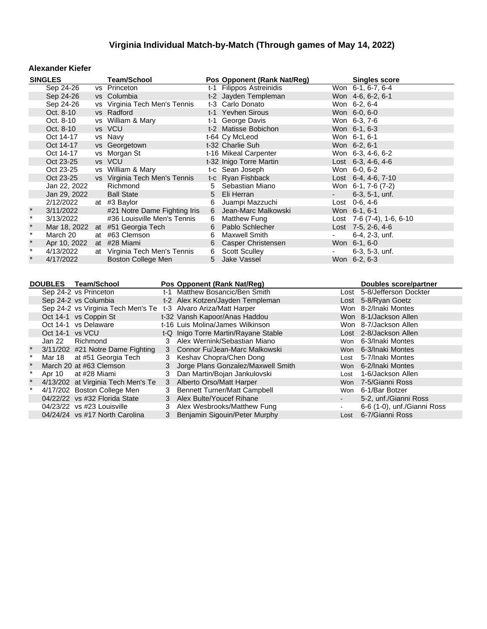#### **Alexander Kiefer**

|         | <b>SINGLES</b>                                                                                      |  | <b>Team/School</b>               |    | Pos Opponent (Rank Nat/Reg)    |                          | <b>Singles score</b>                |  |  |  |
|---------|-----------------------------------------------------------------------------------------------------|--|----------------------------------|----|--------------------------------|--------------------------|-------------------------------------|--|--|--|
|         | Sep 24-26                                                                                           |  | vs Princeton                     |    | t-1 Filippos Astreinidis       |                          | Won 6-1, 6-7, 6-4                   |  |  |  |
|         | Sep 24-26                                                                                           |  | vs Columbia                      |    | t-2 Jayden Templeman           |                          | Won 4-6, 6-2, 6-1                   |  |  |  |
|         | Sep 24-26                                                                                           |  | vs Virginia Tech Men's Tennis    |    | t-3 Carlo Donato               |                          | Won 6-2, 6-4                        |  |  |  |
|         | Oct. 8-10                                                                                           |  | vs Radford                       |    | t-1 Yevhen Sirous              |                          | Won 6-0, 6-0                        |  |  |  |
|         | Oct. 8-10                                                                                           |  | vs William & Mary                |    | t-1 George Davis               |                          | Won 6-3, 7-6                        |  |  |  |
|         | Oct. 8-10                                                                                           |  | vs VCU                           |    | t-2 Matisse Bobichon           |                          | Won 6-1, 6-3                        |  |  |  |
|         | Oct 14-17                                                                                           |  | vs Navy                          |    | t-64 Cy McLeod                 |                          | Won 6-1, 6-1                        |  |  |  |
|         | Oct 14-17                                                                                           |  | vs Georgetown                    |    | t-32 Charlie Suh               |                          | Won 6-2, 6-1                        |  |  |  |
|         | Oct 14-17                                                                                           |  | vs Morgan St                     |    | t-16 Mikeal Carpenter          |                          | Won 6-3, 4-6, 6-2                   |  |  |  |
|         | Oct 23-25                                                                                           |  | vs VCU                           |    | t-32 Inigo Torre Martin        |                          | Lost 6-3, 4-6, 4-6                  |  |  |  |
|         | Oct 23-25                                                                                           |  | vs William & Mary                |    | t-c Sean Joseph                |                          | Won 6-0, 6-2                        |  |  |  |
|         | Oct 23-25                                                                                           |  | vs Virginia Tech Men's Tennis    |    | t-c Ryan Fishback              |                          | Lost 6-4, 4-6, 7-10                 |  |  |  |
|         | Jan 22, 2022                                                                                        |  | Richmond                         | 5. | Sebastian Miano                |                          | Won 6-1, 7-6 (7-2)                  |  |  |  |
|         | Jan 29, 2022                                                                                        |  | <b>Ball State</b>                |    | 5 Eli Herran                   |                          | $6-3, 5-1, \text{unf.}$             |  |  |  |
|         | 2/12/2022                                                                                           |  | at #3 Baylor                     | 6  | Juampi Mazzuchi                |                          | Lost 0-6, 4-6                       |  |  |  |
| $\ast$  | 3/11/2022                                                                                           |  | #21 Notre Dame Fighting Iris     |    | 6 Jean-Marc Malkowski          |                          | Won 6-1, 6-1                        |  |  |  |
| $\star$ | 3/13/2022                                                                                           |  | #36 Louisville Men's Tennis      |    | 6 Matthew Fung                 |                          | Lost $7-6$ $(7-4)$ , $1-6$ , $6-10$ |  |  |  |
| $\star$ |                                                                                                     |  | Mar 18, 2022 at #51 Georgia Tech |    | 6 Pablo Schlecher              |                          | Lost $7-5$ , 2-6, 4-6               |  |  |  |
| $\star$ | March 20                                                                                            |  | at #63 Clemson                   | 6  | <b>Maxwell Smith</b>           | $\overline{\phantom{a}}$ | 6-4, 2-3, unf.                      |  |  |  |
| $\ast$  | Apr 10, 2022                                                                                        |  | at #28 Miami                     | 6  | Casper Christensen             |                          | Won 6-1, 6-0                        |  |  |  |
| $\star$ | 4/13/2022                                                                                           |  | at Virginia Tech Men's Tennis    | 6  | <b>Scott Sculley</b>           |                          | $6-3, 5-3, \text{unf.}$             |  |  |  |
| $\star$ | 4/17/2022                                                                                           |  | Boston College Men               | 5  | Jake Vassel                    |                          | Won 6-2, 6-3                        |  |  |  |
|         | <b>DOUBLES</b><br><b>Team/School</b><br>Pos Opponent (Rank Nat/Reg)<br><b>Doubles score/partner</b> |  |                                  |    |                                |                          |                                     |  |  |  |
|         | Sep 24-2 vs Princeton                                                                               |  |                                  |    | t-1 Matthew Bosancic/Ben Smith |                          | Lost 5-8/Jefferson Dockter          |  |  |  |
|         | $0.40.1$ $0.40.1$                                                                                   |  |                                  |    |                                |                          | $I = I$ $R \Omega / R \ldots R$     |  |  |  |

|                 | Sep 24-2 vs Princeton                                           |   | t-1 Matthew Bosancic/Ben Smith       |      | Lost 5-8/Jefferson Dockter  |
|-----------------|-----------------------------------------------------------------|---|--------------------------------------|------|-----------------------------|
|                 | Sep 24-2 vs Columbia                                            |   | t-2 Alex Kotzen/Jayden Templeman     |      | Lost 5-8/Ryan Goetz         |
|                 | Sep 24-2 vs Virginia Tech Men's Te t-3 Alvaro Ariza/Matt Harper |   |                                      |      | Won 8-2/Inaki Montes        |
|                 | Oct 14-1 vs Coppin St                                           |   | t-32 Vansh Kapoor/Anas Haddou        |      | Won 8-1/Jackson Allen       |
|                 | Oct 14-1 vs Delaware                                            |   | t-16 Luis Molina/James Wilkinson     |      | Won 8-7/Jackson Allen       |
| Oct 14-1 vs VCU |                                                                 |   | t-Q Inigo Torre Martin/Rayane Stable |      | Lost 2-8/Jackson Allen      |
| Jan 22          | Richmond                                                        |   | 3 Alex Wernink/Sebastian Miano       |      | Won 6-3/Inaki Montes        |
|                 | 3/11/202 #21 Notre Dame Fighting                                |   | 3 Connor Fu/Jean-Marc Malkowski      |      | Won 6-3/Inaki Montes        |
|                 | Mar 18 at #51 Georgia Tech                                      |   | 3 Keshav Chopra/Chen Dong            |      | Lost 5-7/Inaki Montes       |
|                 | March 20 at #63 Clemson                                         |   | 3 Jorge Plans Gonzalez/Maxwell Smith |      | Won 6-2/Inaki Montes        |
| Apr 10          | at #28 Miami                                                    |   | 3 Dan Martin/Bojan Jankulovski       | Lost | 1-6/Jackson Allen           |
|                 | 4/13/202 at Virginia Tech Men's Te                              |   | 3 Alberto Orso/Matt Harper           |      | Won 7-5/Gianni Ross         |
|                 | 4/17/202 Boston College Men                                     |   | 3 Bennett Turner/Matt Campbell       |      | Won 6-1/Bar Botzer          |
|                 | 04/22/22 vs #32 Florida State                                   |   | 3 Alex Bulte/Youcef Rihane           |      | 5-2, unf./Gianni Ross       |
|                 | 04/23/22 vs #23 Louisville                                      | 3 | Alex Wesbrooks/Matthew Fung          |      | 6-6 (1-0), unf./Gianni Ross |
|                 | 04/24/24 vs #17 North Carolina                                  |   | 3 Benjamin Sigouin/Peter Murphy      |      | Lost 6-7/Gianni Ross        |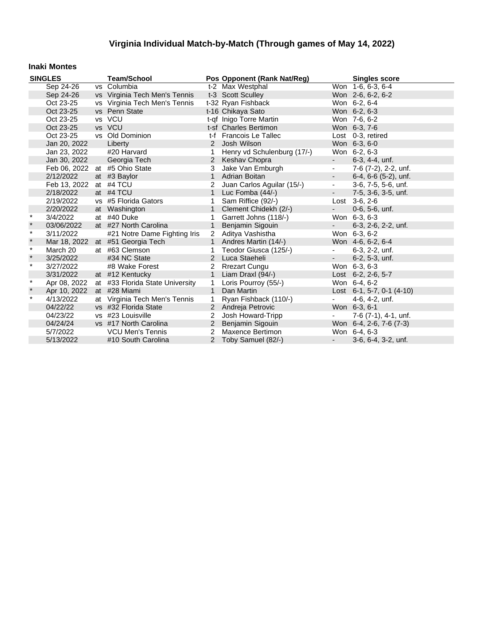#### **Inaki Montes**

| <b>SINGLES</b> |              | <b>Team/School</b>              |              | Pos Opponent (Rank Nat/Reg) |                          | <b>Singles score</b>           |
|----------------|--------------|---------------------------------|--------------|-----------------------------|--------------------------|--------------------------------|
|                | Sep 24-26    | vs Columbia                     |              | t-2 Max Westphal            |                          | Won 1-6, 6-3, 6-4              |
|                | Sep 24-26    | vs Virginia Tech Men's Tennis   |              | t-3 Scott Sculley           |                          | Won 2-6, 6-2, 6-2              |
|                | Oct 23-25    | vs Virginia Tech Men's Tennis   |              | t-32 Ryan Fishback          |                          | Won 6-2, 6-4                   |
|                | Oct 23-25    | vs Penn State                   |              | t-16 Chikaya Sato           |                          | Won 6-2, 6-3                   |
|                | Oct 23-25    | vs VCU                          |              | t-qf Inigo Torre Martin     |                          | Won 7-6, 6-2                   |
|                | Oct 23-25    | vs VCU                          |              | t-sf Charles Bertimon       |                          | Won 6-3, 7-6                   |
|                | Oct 23-25    | vs Old Dominion                 |              | t-f Francois Le Tallec      |                          | Lost 0-3, retired              |
|                | Jan 20, 2022 | Liberty                         | 2            | Josh Wilson                 |                          | Won 6-3, 6-0                   |
|                | Jan 23, 2022 | #20 Harvard                     | 1            | Henry vd Schulenburg (17/-) |                          | Won 6-2, 6-3                   |
|                | Jan 30, 2022 | Georgia Tech                    |              | 2 Keshav Chopra             | $\omega_{\rm{max}}$      | $6-3, 4-4, \text{unf.}$        |
|                |              | Feb 06, 2022 at #5 Ohio State   | 3            | Jake Van Emburgh            | $\blacksquare$           | 7-6 (7-2), 2-2, unf.           |
|                | 2/12/2022    | at #3 Baylor                    | $\mathbf{1}$ | Adrian Boitan               | $\blacksquare$           | $6-4, 6-6$ $(5-2)$ , unf.      |
|                | Feb 13, 2022 | at #4 TCU                       | 2            | Juan Carlos Aguilar (15/-)  | $\blacksquare$           | 3-6, 7-5, 5-6, unf.            |
|                | 2/18/2022    | at #4 TCU                       | $\mathbf{1}$ | Luc Fomba $(44/-)$          | $\omega_{\rm{max}}$      | 7-5, 3-6, 3-5, unf.            |
|                | 2/19/2022    | vs #5 Florida Gators            | 1            | Sam Riffice (92/-)          |                          | Lost $3-6, 2-6$                |
|                | 2/20/2022    | at Washington                   |              | Clement Chidekh (2/-)       | $\sim$                   | 0-6, 5-6, unf.                 |
| $\star$        | 3/4/2022     | at #40 Duke                     | 1            | Garrett Johns (118/-)       |                          | Won 6-3, 6-3                   |
| $\star$        | 03/06/2022   | at #27 North Carolina           | $\mathbf{1}$ | Benjamin Sigouin            | $\omega_{\rm{max}}$      | 6-3, 2-6, 2-2, unf.            |
| $\star$        | 3/11/2022    | #21 Notre Dame Fighting Iris    |              | 2 Aditya Vashistha          |                          | Won 6-3, 6-2                   |
| $\star$        | Mar 18, 2022 | at #51 Georgia Tech             | $\mathbf{1}$ | Andres Martin (14/-)        |                          | Won 4-6, 6-2, 6-4              |
| $\star$        | March 20     | at #63 Clemson                  | 1            | Teodor Giusca (125/-)       | $\sim$                   | 6-3, 2-2, unf.                 |
| $\star$        | 3/25/2022    | #34 NC State                    |              | 2 Luca Staeheli             | $\omega_{\rm{max}}$      | $6-2, 5-3, \text{unf.}$        |
| $\ast$         | 3/27/2022    | #8 Wake Forest                  | 2            | Rrezart Cungu               |                          | Won 6-3, 6-3                   |
|                | 3/31/2022    | at #12 Kentucky                 | $\mathbf{1}$ | Liam Draxl (94/-)           |                          | Lost 6-2, 2-6, 5-7             |
| $\star$        | Apr 08, 2022 | at #33 Florida State University | $\mathbf{1}$ | Loris Pourroy (55/-)        |                          | Won 6-4, 6-2                   |
| $\star$        | Apr 10, 2022 | at #28 Miami                    | $\mathbf{1}$ | Dan Martin                  |                          | Lost $6-1$ , 5-7, 0-1 $(4-10)$ |
| $\star$        | 4/13/2022    | at Virginia Tech Men's Tennis   | $\mathbf{1}$ | Ryan Fishback (110/-)       | $\overline{\phantom{a}}$ | 4-6, 4-2, unf.                 |
|                | 04/22/22     | vs #32 Florida State            |              | 2 Andreja Petrovic          |                          | Won 6-3, 6-1                   |
|                | 04/23/22     | vs #23 Louisville               | 2            | Josh Howard-Tripp           |                          | 7-6 (7-1), 4-1, unf.           |
|                | 04/24/24     | vs #17 North Carolina           |              | 2 Benjamin Sigouin          |                          | Won 6-4, 2-6, 7-6 (7-3)        |
|                | 5/7/2022     | VCU Men's Tennis                |              | 2 Maxence Bertimon          |                          | Won 6-4, 6-3                   |
|                | 5/13/2022    | #10 South Carolina              |              | 2 Toby Samuel (82/-)        | $\omega_{\rm{max}}$      | 3-6, 6-4, 3-2, unf.            |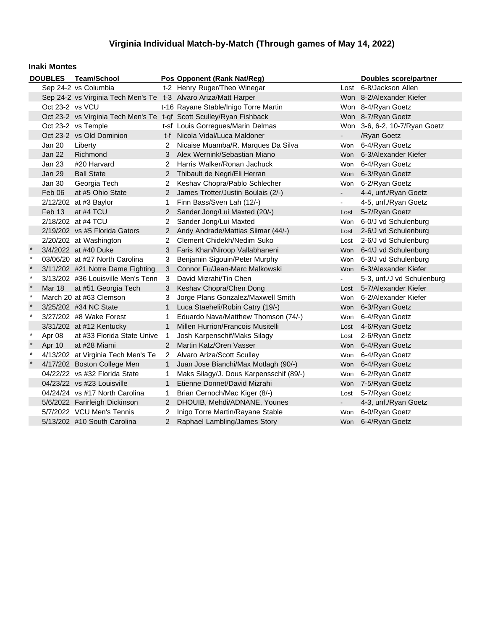#### **Inaki Montes**

|         |                 | DOUBLES Team/School                                             |                      | Pos Opponent (Rank Nat/Reg)                                         |                | Doubles score/partner         |
|---------|-----------------|-----------------------------------------------------------------|----------------------|---------------------------------------------------------------------|----------------|-------------------------------|
|         |                 | Sep 24-2 vs Columbia                                            |                      | t-2 Henry Ruger/Theo Winegar                                        |                | Lost 6-8/Jackson Allen        |
|         |                 | Sep 24-2 vs Virginia Tech Men's Te t-3 Alvaro Ariza/Matt Harper |                      |                                                                     |                | Won 8-2/Alexander Kiefer      |
|         | Oct 23-2 vs VCU |                                                                 |                      | t-16 Rayane Stable/Inigo Torre Martin                               |                | Won 8-4/Ryan Goetz            |
|         |                 |                                                                 |                      | Oct 23-2 vs Virginia Tech Men's Te t-qf Scott Sculley/Ryan Fishback |                | Won 8-7/Ryan Goetz            |
|         |                 | Oct 23-2 vs Temple                                              |                      | t-sf Louis Gorregues/Marin Delmas                                   |                | Won 3-6, 6-2, 10-7/Ryan Goetz |
|         |                 | Oct 23-2 vs Old Dominion                                        |                      | t-f Nicola Vidal/Luca Maldoner                                      |                | /Ryan Goetz                   |
|         | <b>Jan 20</b>   | Liberty                                                         |                      | Nicaise Muamba/R. Marques Da Silva                                  | <b>Won</b>     | 6-4/Ryan Goetz                |
|         | <b>Jan 22</b>   | Richmond                                                        |                      | Alex Wernink/Sebastian Miano                                        | <b>Won</b>     | 6-3/Alexander Kiefer          |
|         | <b>Jan 23</b>   | #20 Harvard                                                     | 2                    | Harris Walker/Ronan Jachuck                                         | Won            | 6-4/Ryan Goetz                |
|         | <b>Jan 29</b>   | <b>Ball State</b>                                               |                      | Thibault de Negri/Eli Herran                                        | <b>Won</b>     | 6-3/Ryan Goetz                |
|         | Jan 30          | Georgia Tech                                                    |                      | Keshav Chopra/Pablo Schlecher                                       | Won            | 6-2/Ryan Goetz                |
|         | Feb 06          | at #5 Ohio State                                                |                      | James Trotter/Justin Boulais (2/-)                                  | $\blacksquare$ | 4-4, unf./Ryan Goetz          |
|         |                 | 2/12/202 at #3 Baylor                                           | 1.                   | Finn Bass/Sven Lah (12/-)                                           | $\sim$         | 4-5, unf./Ryan Goetz          |
|         | Feb 13          | at #4 TCU                                                       |                      | Sander Jong/Lui Maxted (20/-)                                       | Lost           | 5-7/Ryan Goetz                |
|         |                 | 2/18/202 at #4 TCU                                              |                      | Sander Jong/Lui Maxted                                              | Won            | 6-0/J vd Schulenburg          |
|         |                 | 2/19/202 vs #5 Florida Gators                                   | 2                    | Andy Andrade/Mattias Siimar (44/-)                                  | Lost           | 2-6/J vd Schulenburg          |
|         |                 | 2/20/202 at Washington                                          | $\mathbf{2}^{\circ}$ | Clement Chidekh/Nedim Suko                                          | Lost           | 2-6/J vd Schulenburg          |
|         |                 | 3/4/2022 at #40 Duke                                            | 3                    | Faris Khan/Niroop Vallabhaneni                                      | Won            | 6-4/J vd Schulenburg          |
| $\ast$  |                 | 03/06/20 at #27 North Carolina                                  | 3                    | Benjamin Sigouin/Peter Murphy                                       | Won            | 6-3/J vd Schulenburg          |
| $\star$ |                 | 3/11/202 #21 Notre Dame Fighting                                | 3                    | Connor Fu/Jean-Marc Malkowski                                       |                | Won 6-3/Alexander Kiefer      |
| $\star$ |                 | 3/13/202 #36 Louisville Men's Tenn                              | 3                    | David Mizrahi/Tin Chen                                              | $\sim$         | 5-3, unf./J vd Schulenburg    |
| $\star$ | <b>Mar 18</b>   | at #51 Georgia Tech                                             | 3                    | Keshav Chopra/Chen Dong                                             | Lost           | 5-7/Alexander Kiefer          |
| $\ast$  |                 | March 20 at #63 Clemson                                         | 3                    | Jorge Plans Gonzalez/Maxwell Smith                                  | <b>Won</b>     | 6-2/Alexander Kiefer          |
| $\star$ |                 | 3/25/202 #34 NC State                                           | $\mathbf{1}$         | Luca Staeheli/Robin Catry (19/-)                                    |                | Won 6-3/Ryan Goetz            |
| $\star$ |                 | 3/27/202 #8 Wake Forest                                         | 1.                   | Eduardo Nava/Matthew Thomson (74/-)                                 | Won            | 6-4/Ryan Goetz                |
|         |                 | 3/31/202 at #12 Kentucky                                        | $\mathbf{1}$         | Millen Hurrion/Francois Musitelli                                   | Lost           | 4-6/Ryan Goetz                |
| $\star$ | Apr 08          | at #33 Florida State Unive                                      | $\mathbf{1}$         | Josh Karpenschif/Maks Silagy                                        | Lost           | 2-6/Ryan Goetz                |
| $\star$ | Apr 10          | at #28 Miami                                                    | $\overline{2}$       | Martin Katz/Oren Vasser                                             | Won            | 6-4/Ryan Goetz                |
| $\star$ |                 | 4/13/202 at Virginia Tech Men's Te                              | $\overline{2}$       | Alvaro Ariza/Scott Sculley                                          | Won            | 6-4/Ryan Goetz                |
|         |                 | 4/17/202 Boston College Men                                     | $\mathbf{1}$         | Juan Jose Bianchi/Max Motlagh (90/-)                                | Won            | 6-4/Ryan Goetz                |
|         |                 | 04/22/22 vs #32 Florida State                                   | 1                    | Maks Silagy/J. Dous Karpensschif (89/-)                             | Won            | 6-2/Ryan Goetz                |
|         |                 | 04/23/22 vs #23 Louisville                                      | $\mathbf{1}$         | Etienne Donnet/David Mizrahi                                        | Won            | 7-5/Ryan Goetz                |
|         |                 | 04/24/24 vs #17 North Carolina                                  | 1                    | Brian Cernoch/Mac Kiger (8/-)                                       | Lost           | 5-7/Ryan Goetz                |
|         |                 | 5/6/2022 Farirleigh Dickinson                                   | $\overline{2}$       | DHOUIB, Mehdi/ADNANE, Younes                                        | $\bullet$ .    | 4-3, unf./Ryan Goetz          |
|         |                 | 5/7/2022 VCU Men's Tennis                                       | 2                    | Inigo Torre Martin/Rayane Stable                                    | Won            | 6-0/Ryan Goetz                |
|         |                 | 5/13/202 #10 South Carolina                                     | $\overline{2}$       | Raphael Lambling/James Story                                        |                | Won 6-4/Ryan Goetz            |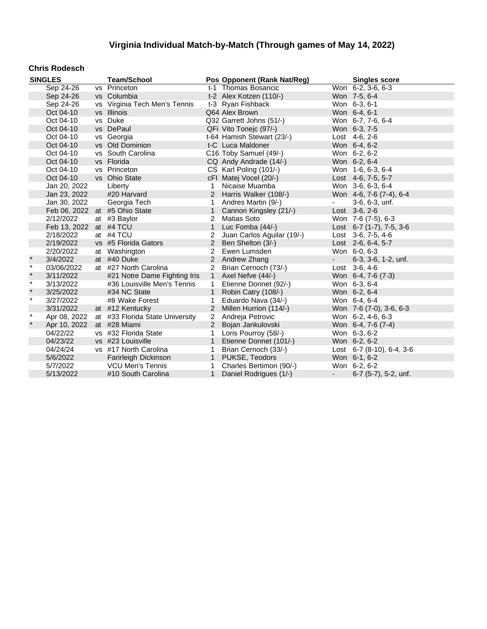#### **Chris Rodesch**

|         | <b>SINGLES</b>         | <b>Team/School</b>              |                | Pos Opponent (Rank Nat/Reg) |                     | <b>Singles score</b>      |
|---------|------------------------|---------------------------------|----------------|-----------------------------|---------------------|---------------------------|
|         | Sep 24-26              | vs Princeton                    |                | t-1 Thomas Bosancic         |                     | Won 6-2, 3-6, 6-3         |
|         | Sep 24-26              | vs Columbia                     |                | t-2 Alex Kotzen (110/-)     |                     | Won 7-5, 6-4              |
|         | Sep 24-26              | vs Virginia Tech Men's Tennis   |                | t-3 Ryan Fishback           |                     | Won 6-3, 6-1              |
|         | Oct 04-10              | vs Illinois                     |                | Q64 Alex Brown              |                     | Won 6-4, 6-1              |
|         | Oct 04-10              | vs Duke                         |                | Q32 Garrett Johns (51/-)    |                     | Won 6-7, 7-6, 6-4         |
|         | Oct 04-10              | vs DePaul                       |                | QFi Vito Tonejc (97/-)      |                     | Won 6-3, 7-5              |
|         | Oct 04-10              | vs Georgia                      |                | t-64 Hamish Stewart (23/-)  |                     | Lost 4-6, 2-6             |
|         | Oct 04-10              | vs Old Dominion                 |                | t-C Luca Maldoner           |                     | Won 6-4, 6-2              |
|         | Oct 04-10              | vs South Carolina               |                | C16 Toby Samuel (49/-)      |                     | Won 6-2, 6-2              |
|         | Oct 04-10              | vs Florida                      |                | CQ Andy Andrade (14/-)      |                     | Won 6-2, 6-4              |
|         | Oct 04-10              | vs Princeton                    |                | CS Karl Poling (101/-)      |                     | Won 1-6, 6-3, 6-4         |
|         | Oct 04-10              | vs Ohio State                   |                | cFI Matej Vocel (20/-)      |                     | Lost 4-6, 7-5, 5-7        |
|         | Jan 20, 2022           | Liberty                         | 1              | Nicaise Muamba              |                     | Won 3-6, 6-3, 6-4         |
|         | Jan 23, 2022           | #20 Harvard                     | 2              | Harris Walker (108/-)       |                     | Won 4-6, 7-6 (7-4), 6-4   |
|         | Jan 30, 2022           | Georgia Tech                    | 1              | Andres Martin (9/-)         | $\sim 100$          | 3-6, 6-3, unf.            |
|         |                        | Feb 06, 2022 at #5 Ohio State   | $\mathbf{1}$   | Cannon Kingsley (21/-)      |                     | Lost $3-6, 2-6$           |
|         | 2/12/2022              | at #3 Baylor                    | 2              | <b>Matias Soto</b>          |                     | Won 7-6 (7-5), 6-3        |
|         | Feb 13, 2022 at #4 TCU |                                 | $\mathbf{1}$   | Luc Fomba (44/-)            |                     | Lost 6-7 (1-7), 7-5, 3-6  |
|         | 2/18/2022              | at #4 TCU                       | 2              | Juan Carlos Aguilar (19/-)  |                     | Lost 3-6, 7-5, 4-6        |
|         | 2/19/2022              | vs #5 Florida Gators            | 2              | Ben Shelton (3/-)           |                     | Lost 2-6, 6-4, 5-7        |
|         | 2/20/2022              | at Washington                   | 2              | Ewen Lumsden                |                     | Won 6-0, 6-3              |
| $\star$ | 3/4/2022               | at #40 Duke                     |                | 2 Andrew Zhang              | $\omega_{\rm{max}}$ | 6-3, 3-6, 1-2, unf.       |
| $\star$ | 03/06/2022             | at #27 North Carolina           | $\overline{2}$ | Brian Cernoch (73/-)        |                     | Lost $3-6, 4-6$           |
| $\star$ | 3/11/2022              | #21 Notre Dame Fighting Iris    | 1              | Axel Nefve (44/-)           |                     | Won 6-4, 7-6 (7-3)        |
| $\star$ | 3/13/2022              | #36 Louisville Men's Tennis     | 1              | Etienne Donnet (92/-)       |                     | Won 6-3, 6-4              |
| $\star$ | 3/25/2022              | #34 NC State                    | $\mathbf{1}$   | Robin Catry (108/-)         |                     | Won 6-2, 6-4              |
| $\star$ | 3/27/2022              | #8 Wake Forest                  | $\mathbf{1}$   | Eduardo Nava (34/-)         |                     | Won 6-4, 6-4              |
|         | 3/31/2022              | at #12 Kentucky                 | 2              | Millen Hurrion (114/-)      |                     | Won 7-6 (7-0), 3-6, 6-3   |
| $\star$ | Apr 08, 2022           | at #33 Florida State University | $\overline{2}$ | Andreja Petrovic            |                     | Won 6-2, 4-6, 6-3         |
| $\star$ | Apr 10, 2022           | at #28 Miami                    |                | 2 Bojan Jankulovski         |                     | Won 6-4, 7-6 (7-4)        |
|         | 04/22/22               | vs #32 Florida State            | $\mathbf 1$    | Loris Pourroy (58/-)        |                     | Won 6-3, 6-2              |
|         | 04/23/22               | vs #23 Louisville               |                | 1 Etienne Donnet (101/-)    |                     | Won 6-2, 6-2              |
|         | 04/24/24               | vs #17 North Carolina           | $\mathbf{1}$   | Brian Cernoch (33/-)        |                     | Lost 6-7 (8-10), 6-4, 3-6 |
|         | 5/6/2022               | Farirleigh Dickinson            |                | 1 PUKSE, Teodors            |                     | Won 6-1, 6-2              |
|         | 5/7/2022               | <b>VCU Men's Tennis</b>         | $\mathbf{1}$   | Charles Bertimon (90/-)     |                     | Won 6-2, 6-2              |
|         | 5/13/2022              | #10 South Carolina              | $\mathbf{1}$   | Daniel Rodrigues (1/-)      | $\sim$              | 6-7 (5-7), 5-2, unf.      |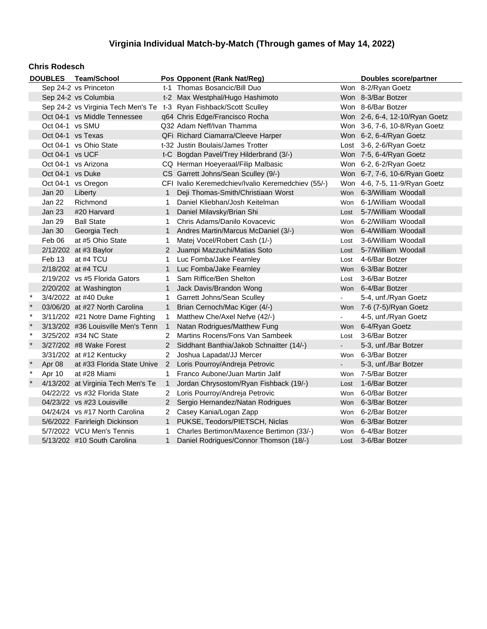#### **Chris Rodesch**

|              |                   | DOUBLES Team/School                                                |                      | Pos Opponent (Rank Nat/Reg)                        |                | <b>Doubles score/partner</b>   |  |
|--------------|-------------------|--------------------------------------------------------------------|----------------------|----------------------------------------------------|----------------|--------------------------------|--|
|              |                   | Sep 24-2 vs Princeton                                              |                      | t-1 Thomas Bosancic/Bill Duo                       |                | Won 8-2/Ryan Goetz             |  |
|              |                   | Sep 24-2 vs Columbia                                               |                      | t-2 Max Westphal/Hugo Hashimoto                    |                | Won 8-3/Bar Botzer             |  |
|              |                   | Sep 24-2 vs Virginia Tech Men's Te t-3 Ryan Fishback/Scott Sculley |                      |                                                    |                | Won 8-6/Bar Botzer             |  |
|              |                   | Oct 04-1 vs Middle Tennessee                                       |                      | q64 Chris Edge/Francisco Rocha                     |                | Won 2-6, 6-4, 12-10/Ryan Goetz |  |
|              | Oct 04-1 vs SMU   |                                                                    |                      | Q32 Adam Neff/Ivan Thamma                          |                | Won 3-6, 7-6, 10-8/Ryan Goetz  |  |
|              | Oct 04-1 vs Texas |                                                                    |                      | QFi Richard Ciamarra/Cleeve Harper                 |                | Won 6-2, 6-4/Ryan Goetz        |  |
|              |                   | Oct 04-1 vs Ohio State                                             |                      | t-32 Justin Boulais/James Trotter                  |                | Lost 3-6, 2-6/Ryan Goetz       |  |
|              | Oct 04-1 vs UCF   |                                                                    |                      | t-C Bogdan Pavel/Trey Hilderbrand (3/-)            |                | Won 7-5, 6-4/Ryan Goetz        |  |
|              |                   | Oct 04-1 vs Arizona                                                |                      | CQ Herman Hoeyeraal/Filip Malbasic                 |                | Won 6-2, 6-2/Ryan Goetz        |  |
|              | Oct 04-1 vs Duke  |                                                                    |                      | CS Garrett Johns/Sean Sculley (9/-)                |                | Won 6-7, 7-6, 10-6/Ryan Goetz  |  |
|              |                   | Oct 04-1 vs Oregon                                                 |                      | CFI Ivalio Keremedchiev/Ivalio Keremedchiev (55/-) |                | Won 4-6, 7-5, 11-9/Ryan Goetz  |  |
|              | Jan 20            | Liberty                                                            | $\mathbf{1}$         | Deji Thomas-Smith/Christiaan Worst                 |                | Won 6-3/William Woodall        |  |
|              | Jan 22            | Richmond                                                           | 1                    | Daniel Kliebhan/Josh Keitelman                     |                | Won 6-1/William Woodall        |  |
|              | Jan 23            | #20 Harvard                                                        | 1                    | Daniel Milavsky/Brian Shi                          |                | Lost 5-7/William Woodall       |  |
|              | <b>Jan 29</b>     | <b>Ball State</b>                                                  | $\mathbf{1}$         | Chris Adams/Danilo Kovacevic                       |                | Won 6-2/William Woodall        |  |
|              | Jan 30            | Georgia Tech                                                       | 1                    | Andres Martin/Marcus McDaniel (3/-)                |                | Won 6-4/William Woodall        |  |
|              | Feb 06            | at #5 Ohio State                                                   | 1                    | Matej Vocel/Robert Cash (1/-)                      | Lost           | 3-6/William Woodall            |  |
|              |                   | 2/12/202 at #3 Baylor                                              | $\mathbf{2}^{\circ}$ | Juampi Mazzuchi/Matias Soto                        | Lost           | 5-7/William Woodall            |  |
|              | Feb 13            | at #4 TCU                                                          | 1.                   | Luc Fomba/Jake Fearnley                            | Lost           | 4-6/Bar Botzer                 |  |
|              |                   | 2/18/202 at #4 TCU                                                 |                      | Luc Fomba/Jake Fearnley                            | <b>Won</b>     | 6-3/Bar Botzer                 |  |
|              |                   | 2/19/202 vs #5 Florida Gators                                      | 1                    | Sam Riffice/Ben Shelton                            | Lost           | 3-6/Bar Botzer                 |  |
|              |                   | 2/20/202 at Washington                                             | 1                    | Jack Davis/Brandon Wong                            |                | Won 6-4/Bar Botzer             |  |
| $\star$      |                   | 3/4/2022 at #40 Duke                                               | 1                    | Garrett Johns/Sean Sculley                         |                | 5-4, unf./Ryan Goetz           |  |
|              |                   | 03/06/20 at #27 North Carolina                                     | $\mathbf{1}$         | Brian Cernoch/Mac Kiger (4/-)                      |                | Won 7-6 (7-5)/Ryan Goetz       |  |
| $\ast$       |                   | 3/11/202 #21 Notre Dame Fighting                                   | 1                    | Matthew Che/Axel Nefve (42/-)                      |                | 4-5, unf./Ryan Goetz           |  |
| $\star$      |                   | 3/13/202 #36 Louisville Men's Tenn                                 | $\overline{1}$       | Natan Rodrigues/Matthew Fung                       |                | Won 6-4/Ryan Goetz             |  |
| $\star$      |                   | 3/25/202 #34 NC State                                              | $\overline{2}$       | Martins Rocens/Fons Van Sambeek                    | Lost           | 3-6/Bar Botzer                 |  |
| $\star$      |                   | 3/27/202 #8 Wake Forest                                            | $2^{\circ}$          | Siddhant Banthia/Jakob Schnaitter (14/-)           | $\sim 10^{-1}$ | 5-3, unf./Bar Botzer           |  |
|              |                   | 3/31/202 at #12 Kentucky                                           | 2                    | Joshua Lapadat/JJ Mercer                           | Won            | 6-3/Bar Botzer                 |  |
| $\ast$       | Apr 08            | at #33 Florida State Unive                                         |                      | 2 Loris Pourroy/Andreja Petrovic                   | $\blacksquare$ | 5-3, unf./Bar Botzer           |  |
| $\pmb{\ast}$ | Apr 10            | at #28 Miami                                                       | $\mathbf{1}$         | Franco Aubone/Juan Martin Jalif                    | Won            | 7-5/Bar Botzer                 |  |
| $\ast$       |                   | 4/13/202 at Virginia Tech Men's Te                                 | $\mathbf{1}$         | Jordan Chrysostom/Ryan Fishback (19/-)             | Lost           | 1-6/Bar Botzer                 |  |
|              |                   | 04/22/22 vs #32 Florida State                                      | 2                    | Loris Pourroy/Andreja Petrovic                     | Won            | 6-0/Bar Botzer                 |  |
|              |                   | 04/23/22 vs #23 Louisville                                         |                      | 2 Sergio Hernandez/Natan Rodrigues                 |                | Won 6-3/Bar Botzer             |  |
|              |                   | 04/24/24 vs #17 North Carolina                                     | $\mathbf{2}$         | Casey Kania/Logan Zapp                             | Won            | 6-2/Bar Botzer                 |  |
|              |                   | 5/6/2022 Farirleigh Dickinson                                      | 1                    | PUKSE, Teodors/PIETSCH, Niclas                     |                | Won 6-3/Bar Botzer             |  |
|              |                   | 5/7/2022 VCU Men's Tennis                                          | 1                    | Charles Bertimon/Maxence Bertimon (33/-)           |                | Won 6-4/Bar Botzer             |  |
|              |                   | 5/13/202 #10 South Carolina                                        | $\mathbf{1}$         | Daniel Rodrigues/Connor Thomson (18/-)             | Lost           | 3-6/Bar Botzer                 |  |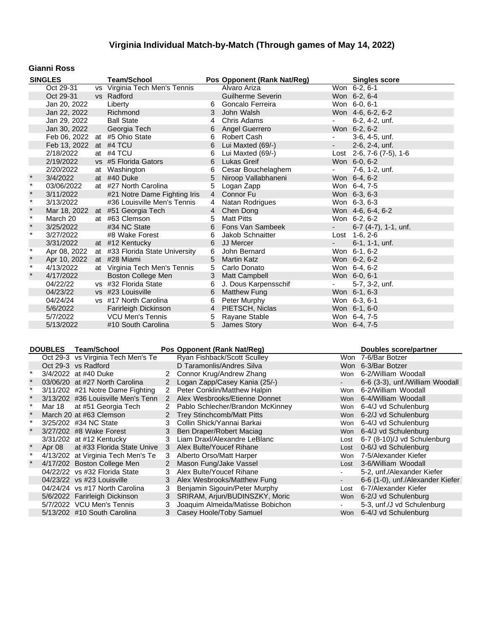### **Gianni Ross**

|         | <b>SINGLES</b>         | <b>Team/School</b>               |                | Pos Opponent (Rank Nat/Reg) |                             | <b>Singles score</b>        |
|---------|------------------------|----------------------------------|----------------|-----------------------------|-----------------------------|-----------------------------|
|         | Oct 29-31              | vs Virginia Tech Men's Tennis    |                | Alvaro Ariza                |                             | Won 6-2, 6-1                |
|         | Oct 29-31              | vs Radford                       |                | <b>Guilherme Severin</b>    |                             | Won 6-2, 6-4                |
|         | Jan 20, 2022           | Liberty                          | 6              | Goncalo Ferreira            |                             | Won 6-0, 6-1                |
|         | Jan 22, 2022           | Richmond                         | 3              | John Walsh                  |                             | Won 4-6, 6-2, 6-2           |
|         | Jan 29, 2022           | <b>Ball State</b>                | 4              | Chris Adams                 | $\sim$                      | 6-2, 4-2, unf.              |
|         | Jan 30, 2022           | Georgia Tech                     | 6              | Angel Guerrero              |                             | Won 6-2, 6-2                |
|         | Feb 06, 2022           | at #5 Ohio State                 | 6              | Robert Cash                 | $\overline{\phantom{a}}$    | 3-6, 4-5, unf.              |
|         | Feb 13, 2022 at #4 TCU |                                  | 6              | Lui Maxted (69/-)           | $\omega_{\rm{max}}$         | 2-6, 2-4, unf.              |
|         | 2/18/2022              | at #4 TCU                        | 6              | Lui Maxted (69/-)           |                             | Lost 2-6, 7-6 $(7-5)$ , 1-6 |
|         | 2/19/2022              | vs #5 Florida Gators             | 6              | Lukas Greif                 |                             | Won 6-0, 6-2                |
|         | 2/20/2022              | at Washington                    | 6              | Cesar Bouchelaghem          | $\blacksquare$              | 7-6, 1-2, unf.              |
| $\ast$  | 3/4/2022               | at #40 Duke                      | 5              | Niroop Vallabhaneni         |                             | Won 6-4, 6-2                |
| $\star$ | 03/06/2022             | at #27 North Carolina            | 5              | Logan Zapp                  |                             | Won 6-4, 7-5                |
| $\star$ | 3/11/2022              | #21 Notre Dame Fighting Iris     |                | 4 Connor Fu                 |                             | Won 6-3, 6-3                |
| $\star$ | 3/13/2022              | #36 Louisville Men's Tennis      | $\overline{4}$ | Natan Rodrigues             |                             | Won 6-3, 6-3                |
| $\star$ |                        | Mar 18, 2022 at #51 Georgia Tech |                | 4 Chen Dong                 |                             | Won 4-6, 6-4, 6-2           |
| $\star$ | March 20               | at #63 Clemson                   | 5              | <b>Matt Pitts</b>           |                             | Won 6-2, 6-2                |
| $\star$ | 3/25/2022              | #34 NC State                     |                | 6 Fons Van Sambeek          | $\omega_{\rm{max}}$         | 6-7 (4-7), 1-1, unf.        |
| $\star$ | 3/27/2022              | #8 Wake Forest                   |                | 6 Jakob Schnaitter          |                             | Lost 1-6, 2-6               |
|         | 3/31/2022              | at #12 Kentucky                  |                | 6 JJ Mercer                 | $\mathbf{z} = \mathbf{z}$ . | $6-1$ , 1-1, unf.           |
| $\star$ | Apr 08, 2022           | at #33 Florida State University  | 6              | John Bernard                |                             | Won 6-1, 6-2                |
| $\star$ | Apr 10, 2022           | at #28 Miami                     | 5              | <b>Martin Katz</b>          |                             | Won 6-2, 6-2                |
| $\star$ | 4/13/2022              | at Virginia Tech Men's Tennis    | 5              | Carlo Donato                |                             | Won 6-4, 6-2                |
| $\star$ | 4/17/2022              | Boston College Men               |                | 3 Matt Campbell             |                             | Won 6-0, 6-1                |
|         | 04/22/22               | vs #32 Florida State             | 6              | J. Dous Karpensschif        | $\omega_{\rm{max}}$         | 5-7, 3-2, unf.              |
|         | 04/23/22               | vs #23 Louisville                | 6              | <b>Matthew Fung</b>         |                             | Won 6-1, 6-3                |
|         | 04/24/24               | vs #17 North Carolina            | 6              | Peter Murphy                |                             | Won 6-3, 6-1                |
|         | 5/6/2022               | Farirleigh Dickinson             |                | 4 PIETSCH, Niclas           |                             | Won 6-1, 6-0                |
|         | 5/7/2022               | <b>VCU Men's Tennis</b>          | 5              | Rayane Stable               |                             | Won 6-4, 7-5                |
|         | 5/13/2022              | #10 South Carolina               |                | 5 James Story               |                             | Won 6-4, 7-5                |

| <b>DOUBLES</b> | <b>Team/School</b>                 |                | Pos Opponent (Rank Nat/Reg)       |        | Doubles score/partner            |
|----------------|------------------------------------|----------------|-----------------------------------|--------|----------------------------------|
|                | Oct 29-3 vs Virginia Tech Men's Te |                | Ryan Fishback/Scott Sculley       |        | Won 7-6/Bar Botzer               |
|                | Oct 29-3 vs Radford                |                | D Taramonlis/Andres Silva         |        | Won 6-3/Bar Botzer               |
|                | 3/4/2022 at #40 Duke               | $\mathbf{2}$   | Connor Krug/Andrew Zhang          | Won    | 6-2/William Woodall              |
|                | 03/06/20 at #27 North Carolina     | 2              | Logan Zapp/Casey Kania (25/-)     |        | 6-6 (3-3), unf./William Woodall  |
|                | 3/11/202 #21 Notre Dame Fighting   | 2              | Peter Conklin/Matthew Halpin      | Won    | 6-2/William Woodall              |
|                | 3/13/202 #36 Louisville Men's Tenn | 2              | Alex Wesbrooks/Etienne Donnet     | Won    | 6-4/William Woodall              |
| Mar 18         | at #51 Georgia Tech                | 2              | Pablo Schlecher/Brandon McKinney  |        | Won 6-4/J vd Schulenburg         |
|                | March 20 at #63 Clemson            | $\mathbf{2}$   | <b>Trey Stinchcomb/Matt Pitts</b> |        | Won 6-2/J vd Schulenburg         |
|                | 3/25/202 #34 NC State              | 3              | Collin Shick/Yannai Barkai        | Won    | 6-4/J vd Schulenburg             |
|                | 3/27/202 #8 Wake Forest            | 3 <sup>1</sup> | Ben Draper/Robert Maciag          |        | Won 6-4/J vd Schulenburg         |
|                | 3/31/202 at #12 Kentucky           | 3              | Liam Draxl/Alexandre LeBlanc      | Lost   | 6-7 (8-10)/J vd Schulenburg      |
| Apr 08         | at #33 Florida State Unive         | 3              | Alex Bulte/Youcef Rihane          |        | Lost 0-6/J vd Schulenburg        |
|                | 4/13/202 at Virginia Tech Men's Te | 3              | Alberto Orso/Matt Harper          | Won    | 7-5/Alexander Kiefer             |
|                | 4/17/202 Boston College Men        | $\mathbf{2}$   | Mason Fung/Jake Vassel            | Lost   | 3-6/William Woodall              |
|                | 04/22/22 vs #32 Florida State      | 3              | Alex Bulte/Youcef Rihane          |        | 5-2, unf./Alexander Kiefer       |
|                | 04/23/22 vs #23 Louisville         | 3              | Alex Wesbrooks/Matthew Fung       |        | 6-6 (1-0), unf./Alexander Kiefer |
|                | 04/24/24 vs #17 North Carolina     | 3              | Benjamin Sigouin/Peter Murphy     | Lost   | 6-7/Alexander Kiefer             |
|                | 5/6/2022 Farirleigh Dickinson      | 3              | SRIRAM, Arjun/BUDINSZKY, Moric    |        | Won 6-2/J vd Schulenburg         |
|                | 5/7/2022 VCU Men's Tennis          | 3              | Joaquim Almeida/Matisse Bobichon  | $\sim$ | 5-3, unf./J vd Schulenburg       |
|                | 5/13/202 #10 South Carolina        | 3              | Casey Hoole/Toby Samuel           |        | Won 6-4/J vd Schulenburg         |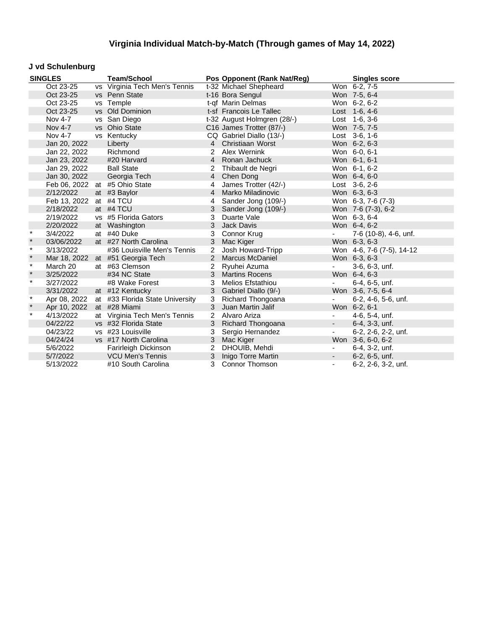### **J vd Schulenburg**

| <b>SINGLES</b> |              | <b>Team/School</b>              |                | Pos Opponent (Rank Nat/Reg) |                          | <b>Singles score</b>      |
|----------------|--------------|---------------------------------|----------------|-----------------------------|--------------------------|---------------------------|
|                | Oct 23-25    | vs Virginia Tech Men's Tennis   |                | t-32 Michael Shepheard      |                          | Won 6-2, 7-5              |
|                | Oct 23-25    | vs Penn State                   |                | t-16 Bora Sengul            |                          | Won 7-5, 6-4              |
|                | Oct 23-25    | vs Temple                       |                | t-qf Marin Delmas           |                          | Won 6-2, 6-2              |
|                | Oct 23-25    | vs Old Dominion                 |                | t-sf Francois Le Tallec     |                          | Lost 1-6, 4-6             |
|                | Nov 4-7      | vs San Diego                    |                | t-32 August Holmgren (28/-) |                          | Lost 1-6, 3-6             |
|                | Nov 4-7      | vs Ohio State                   |                | C16 James Trotter (87/-)    |                          | Won 7-5, 7-5              |
|                | Nov 4-7      | vs Kentucky                     |                | CQ Gabriel Diallo (13/-)    |                          | Lost 3-6, 1-6             |
|                | Jan 20, 2022 | Liberty                         |                | 4 Christiaan Worst          |                          | Won 6-2, 6-3              |
|                | Jan 22, 2022 | Richmond                        | $\overline{2}$ | Alex Wernink                |                          | Won 6-0, 6-1              |
|                | Jan 23, 2022 | #20 Harvard                     |                | 4 Ronan Jachuck             |                          | Won 6-1, 6-1              |
|                | Jan 29, 2022 | <b>Ball State</b>               | 2              | Thibault de Negri           |                          | Won 6-1, 6-2              |
|                | Jan 30, 2022 | Georgia Tech                    |                | 4 Chen Dong                 |                          | Won 6-4, 6-0              |
|                |              | Feb 06, 2022 at #5 Ohio State   | 4              | James Trotter (42/-)        |                          | Lost $3-6, 2-6$           |
|                | 2/12/2022    | at #3 Baylor                    | $\overline{4}$ | Marko Miladinovic           |                          | Won 6-3, 6-3              |
|                | Feb 13, 2022 | at #4 TCU                       | 4              | Sander Jong (109/-)         |                          | Won 6-3, 7-6 (7-3)        |
|                | 2/18/2022    | at #4 TCU                       | 3              | Sander Jong (109/-)         |                          | Won 7-6 (7-3), 6-2        |
|                | 2/19/2022    | vs #5 Florida Gators            | 3              | Duarte Vale                 |                          | Won 6-3, 6-4              |
|                | 2/20/2022    | at Washington                   | 3              | Jack Davis                  |                          | Won 6-4, 6-2              |
| $\star$        | 3/4/2022     | at #40 Duke                     | 3              | Connor Krug                 | $\blacksquare$           | 7-6 (10-8), 4-6, unf.     |
| $\star$        | 03/06/2022   | at #27 North Carolina           | 3              | Mac Kiger                   |                          | Won 6-3, 6-3              |
| $\star$        | 3/13/2022    | #36 Louisville Men's Tennis     | 2              | Josh Howard-Tripp           |                          | Won 4-6, 7-6 (7-5), 14-12 |
| $\star$        | Mar 18, 2022 | at #51 Georgia Tech             |                | 2 Marcus McDaniel           |                          | Won 6-3, 6-3              |
| $\star$        | March 20     | at #63 Clemson                  | 2              | Ryuhei Azuma                |                          | 3-6, 6-3, unf.            |
| $\star$        | 3/25/2022    | #34 NC State                    |                | 3 Martins Rocens            |                          | Won 6-4, 6-3              |
| $\star$        | 3/27/2022    | #8 Wake Forest                  | 3              | <b>Melios Efstathiou</b>    |                          | 6-4, 6-5, unf.            |
|                | 3/31/2022    | at #12 Kentucky                 | 3              | Gabriel Diallo (9/-)        |                          | Won 3-6, 7-5, 6-4         |
| $\star$        | Apr 08, 2022 | at #33 Florida State University | 3              | Richard Thongoana           |                          | 6-2, 4-6, 5-6, unf.       |
| $\star$        | Apr 10, 2022 | at #28 Miami                    | 3              | Juan Martin Jalif           |                          | Won 6-2, 6-1              |
| $\star$        | 4/13/2022    | at Virginia Tech Men's Tennis   |                | 2 Alvaro Ariza              | $\overline{\phantom{a}}$ | 4-6, 5-4, unf.            |
|                | 04/22/22     | vs #32 Florida State            | 3              | Richard Thongoana           | $\overline{\phantom{a}}$ | 6-4, 3-3, unf.            |
|                | 04/23/22     | vs #23 Louisville               | 3              | Sergio Hernandez            | $\overline{\phantom{a}}$ | 6-2, 2-6, 2-2, unf.       |
|                | 04/24/24     | vs #17 North Carolina           | 3              | Mac Kiger                   |                          | Won 3-6, 6-0, 6-2         |
|                | 5/6/2022     | Farirleigh Dickinson            | 2              | DHOUIB, Mehdi               | $\overline{\phantom{a}}$ | 6-4, 3-2, unf.            |
|                | 5/7/2022     | <b>VCU Men's Tennis</b>         | 3              | Inigo Torre Martin          | $\blacksquare$           | $6-2, 6-5, \text{unf.}$   |
|                | 5/13/2022    | #10 South Carolina              | 3              | <b>Connor Thomson</b>       | $\overline{\phantom{a}}$ | 6-2, 2-6, 3-2, unf.       |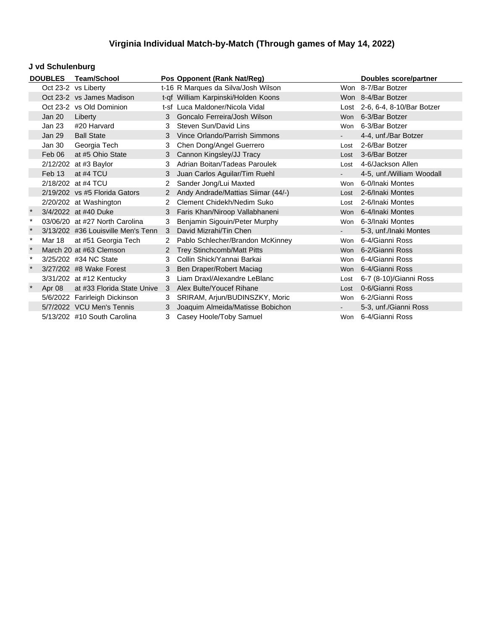### **J vd Schulenburg**

|          | <b>DOUBLES</b> | Team/School                        |                      | Pos Opponent (Rank Nat/Reg)         |        | <b>Doubles score/partner</b>   |
|----------|----------------|------------------------------------|----------------------|-------------------------------------|--------|--------------------------------|
|          |                | Oct 23-2 vs Liberty                |                      | t-16 R Marques da Silva/Josh Wilson |        | Won 8-7/Bar Botzer             |
|          |                | Oct 23-2 vs James Madison          |                      | t-qf William Karpinski/Holden Koons |        | Won 8-4/Bar Botzer             |
|          |                | Oct 23-2 vs Old Dominion           |                      | t-sf Luca Maldoner/Nicola Vidal     |        | Lost 2-6, 6-4, 8-10/Bar Botzer |
|          | Jan 20         | Liberty                            | 3                    | Goncalo Ferreira/Josh Wilson        |        | Won 6-3/Bar Botzer             |
|          | Jan 23         | #20 Harvard                        | 3                    | Steven Sun/David Lins               |        | Won 6-3/Bar Botzer             |
|          | Jan 29         | <b>Ball State</b>                  | 3                    | Vince Orlando/Parrish Simmons       |        | 4-4, unf./Bar Botzer           |
|          | Jan 30         | Georgia Tech                       | 3                    | Chen Dong/Angel Guerrero            |        | Lost 2-6/Bar Botzer            |
|          | Feb 06         | at #5 Ohio State                   | 3                    | Cannon Kingsley/JJ Tracy            |        | Lost 3-6/Bar Botzer            |
|          |                | 2/12/202 at #3 Baylor              | 3                    | Adrian Boitan/Tadeas Paroulek       |        | Lost 4-6/Jackson Allen         |
|          | Feb 13         | at #4 TCU                          | 3                    | Juan Carlos Aguilar/Tim Ruehl       | $\sim$ | 4-5, unf./William Woodall      |
|          |                | 2/18/202 at #4 TCU                 | $\mathbf{2}^{\circ}$ | Sander Jong/Lui Maxted              | Won    | 6-0/Inaki Montes               |
|          |                | $2/19/202$ vs #5 Florida Gators    | $\overline{2}$       | Andy Andrade/Mattias Siimar (44/-)  |        | Lost 2-6/Inaki Montes          |
|          |                | 2/20/202 at Washington             | $\mathbf{2}$         | Clement Chidekh/Nedim Suko          | Lost   | 2-6/Inaki Montes               |
| $\star$  |                | 3/4/2022 at #40 Duke               | 3                    | Faris Khan/Niroop Vallabhaneni      |        | Won 6-4/Inaki Montes           |
| $^\star$ |                | 03/06/20 at #27 North Carolina     | 3                    | Benjamin Sigouin/Peter Murphy       |        | Won 6-3/Inaki Montes           |
| $\star$  |                | 3/13/202 #36 Louisville Men's Tenn | 3                    | David Mizrahi/Tin Chen              | $\sim$ | 5-3, unf./Inaki Montes         |
| $\ast$   | Mar 18         | at #51 Georgia Tech                | $\mathbf{2}^{\circ}$ | Pablo Schlecher/Brandon McKinney    | Won    | 6-4/Gianni Ross                |
|          |                | March 20 at #63 Clemson            | 2 <sup>1</sup>       | <b>Trey Stinchcomb/Matt Pitts</b>   |        | Won 6-2/Gianni Ross            |
| $\ast$   |                | 3/25/202 #34 NC State              | 3                    | Collin Shick/Yannai Barkai          |        | Won 6-4/Gianni Ross            |
|          |                | 3/27/202 #8 Wake Forest            | 3 <sup>1</sup>       | Ben Draper/Robert Maciag            |        | Won 6-4/Gianni Ross            |
|          |                | 3/31/202 at #12 Kentucky           | 3                    | Liam Draxl/Alexandre LeBlanc        | Lost   | 6-7 (8-10)/Gianni Ross         |
| $\star$  | Apr 08         | at #33 Florida State Unive         | 3                    | Alex Bulte/Youcef Rihane            | Lost   | 0-6/Gianni Ross                |
|          |                | 5/6/2022 Farirleigh Dickinson      | 3                    | SRIRAM, Arjun/BUDINSZKY, Moric      |        | Won 6-2/Gianni Ross            |
|          |                | 5/7/2022 VCU Men's Tennis          | 3                    | Joaquim Almeida/Matisse Bobichon    |        | 5-3, unf./Gianni Ross          |
|          |                | 5/13/202 #10 South Carolina        | 3                    | Casey Hoole/Toby Samuel             |        | Won 6-4/Gianni Ross            |